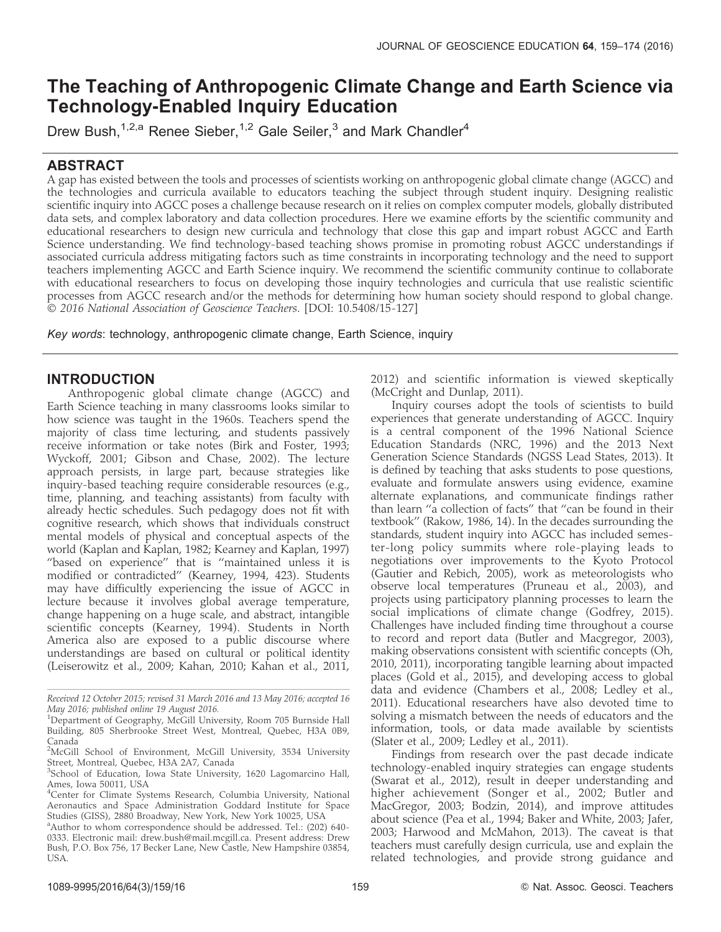# The Teaching of Anthropogenic Climate Change and Earth Science via Technology-Enabled Inquiry Education

Drew Bush,  $1,2,9$  Renee Sieber,  $1,2$  Gale Seiler,  $3$  and Mark Chandler  $4$ 

## ABSTRACT

A gap has existed between the tools and processes of scientists working on anthropogenic global climate change (AGCC) and the technologies and curricula available to educators teaching the subject through student inquiry. Designing realistic scientific inquiry into AGCC poses a challenge because research on it relies on complex computer models, globally distributed data sets, and complex laboratory and data collection procedures. Here we examine efforts by the scientific community and educational researchers to design new curricula and technology that close this gap and impart robust AGCC and Earth Science understanding. We find technology-based teaching shows promise in promoting robust AGCC understandings if associated curricula address mitigating factors such as time constraints in incorporating technology and the need to support teachers implementing AGCC and Earth Science inquiry. We recommend the scientific community continue to collaborate with educational researchers to focus on developing those inquiry technologies and curricula that use realistic scientific processes from AGCC research and/or the methods for determining how human society should respond to global change. - 2016 National Association of Geoscience Teachers. [DOI: 10.5408/15-127]

Key words: technology, anthropogenic climate change, Earth Science, inquiry

## INTRODUCTION

Anthropogenic global climate change (AGCC) and Earth Science teaching in many classrooms looks similar to how science was taught in the 1960s. Teachers spend the majority of class time lecturing, and students passively receive information or take notes (Birk and Foster, 1993; Wyckoff, 2001; Gibson and Chase, 2002). The lecture approach persists, in large part, because strategies like inquiry-based teaching require considerable resources (e.g., time, planning, and teaching assistants) from faculty with already hectic schedules. Such pedagogy does not fit with cognitive research, which shows that individuals construct mental models of physical and conceptual aspects of the world (Kaplan and Kaplan, 1982; Kearney and Kaplan, 1997) "based on experience" that is "maintained unless it is modified or contradicted'' (Kearney, 1994, 423). Students may have difficultly experiencing the issue of AGCC in lecture because it involves global average temperature, change happening on a huge scale, and abstract, intangible scientific concepts (Kearney, 1994). Students in North America also are exposed to a public discourse where understandings are based on cultural or political identity (Leiserowitz et al., 2009; Kahan, 2010; Kahan et al., 2011,

2012) and scientific information is viewed skeptically (McCright and Dunlap, 2011).

Inquiry courses adopt the tools of scientists to build experiences that generate understanding of AGCC. Inquiry is a central component of the 1996 National Science Education Standards (NRC, 1996) and the 2013 Next Generation Science Standards (NGSS Lead States, 2013). It is defined by teaching that asks students to pose questions, evaluate and formulate answers using evidence, examine alternate explanations, and communicate findings rather than learn ''a collection of facts'' that ''can be found in their textbook'' (Rakow, 1986, 14). In the decades surrounding the standards, student inquiry into AGCC has included semester-long policy summits where role-playing leads to negotiations over improvements to the Kyoto Protocol (Gautier and Rebich, 2005), work as meteorologists who observe local temperatures (Pruneau et al., 2003), and projects using participatory planning processes to learn the social implications of climate change (Godfrey, 2015). Challenges have included finding time throughout a course to record and report data (Butler and Macgregor, 2003), making observations consistent with scientific concepts (Oh, 2010, 2011), incorporating tangible learning about impacted places (Gold et al., 2015), and developing access to global data and evidence (Chambers et al., 2008; Ledley et al., 2011). Educational researchers have also devoted time to solving a mismatch between the needs of educators and the information, tools, or data made available by scientists (Slater et al., 2009; Ledley et al., 2011).

Findings from research over the past decade indicate technology-enabled inquiry strategies can engage students (Swarat et al., 2012), result in deeper understanding and higher achievement (Songer et al., 2002; Butler and MacGregor, 2003; Bodzin, 2014), and improve attitudes about science (Pea et al., 1994; Baker and White, 2003; Jafer, 2003; Harwood and McMahon, 2013). The caveat is that teachers must carefully design curricula, use and explain the related technologies, and provide strong guidance and

Received 12 October 2015; revised 31 March 2016 and 13 May 2016; accepted 16 May 2016; published online 19 August 2016.

<sup>&</sup>lt;sup>1</sup>Department of Geography, McGill University, Room 705 Burnside Hall Building, 805 Sherbrooke Street West, Montreal, Quebec, H3A 0B9, Canada

<sup>&</sup>lt;sup>2</sup>McGill School of Environment, McGill University, 3534 University Street, Montreal, Quebec, H3A 2A7, Canada

<sup>&</sup>lt;sup>3</sup>School of Education, Iowa State University, 1620 Lagomarcino Hall, Ames, Iowa 50011, USA

<sup>4</sup> Center for Climate Systems Research, Columbia University, National Aeronautics and Space Administration Goddard Institute for Space Studies (GISS), 2880 Broadway, New York, New York 10025, USA

<sup>&</sup>lt;sup>a</sup> Author to whom correspondence should be addressed. Tel.: (202) 640-0333. Electronic mail: drew.bush@mail.mcgill.ca. Present address: Drew Bush, P.O. Box 756, 17 Becker Lane, New Castle, New Hampshire 03854, **I**ISA.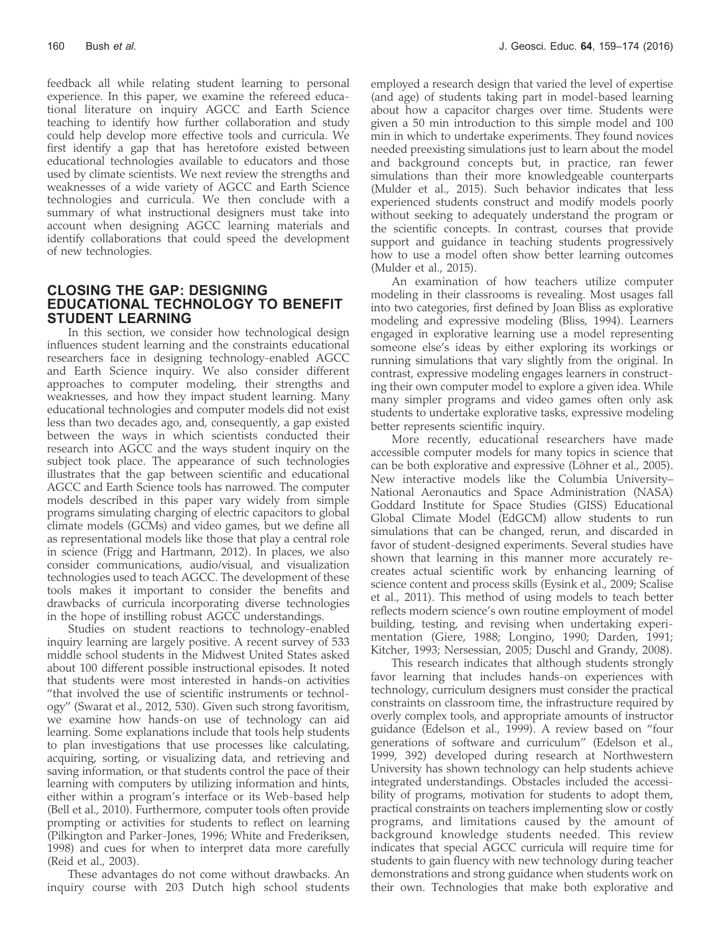feedback all while relating student learning to personal experience. In this paper, we examine the refereed educational literature on inquiry AGCC and Earth Science teaching to identify how further collaboration and study could help develop more effective tools and curricula. We first identify a gap that has heretofore existed between educational technologies available to educators and those used by climate scientists. We next review the strengths and weaknesses of a wide variety of AGCC and Earth Science technologies and curricula. We then conclude with a summary of what instructional designers must take into account when designing AGCC learning materials and identify collaborations that could speed the development of new technologies.

### CLOSING THE GAP: DESIGNING EDUCATIONAL TECHNOLOGY TO BENEFIT STUDENT LEARNING

In this section, we consider how technological design influences student learning and the constraints educational researchers face in designing technology-enabled AGCC and Earth Science inquiry. We also consider different approaches to computer modeling, their strengths and weaknesses, and how they impact student learning. Many educational technologies and computer models did not exist less than two decades ago, and, consequently, a gap existed between the ways in which scientists conducted their research into AGCC and the ways student inquiry on the subject took place. The appearance of such technologies illustrates that the gap between scientific and educational AGCC and Earth Science tools has narrowed. The computer models described in this paper vary widely from simple programs simulating charging of electric capacitors to global climate models (GCMs) and video games, but we define all as representational models like those that play a central role in science (Frigg and Hartmann, 2012). In places, we also consider communications, audio/visual, and visualization technologies used to teach AGCC. The development of these tools makes it important to consider the benefits and drawbacks of curricula incorporating diverse technologies in the hope of instilling robust AGCC understandings.

Studies on student reactions to technology-enabled inquiry learning are largely positive. A recent survey of 533 middle school students in the Midwest United States asked about 100 different possible instructional episodes. It noted that students were most interested in hands-on activities ''that involved the use of scientific instruments or technology'' (Swarat et al., 2012, 530). Given such strong favoritism, we examine how hands-on use of technology can aid learning. Some explanations include that tools help students to plan investigations that use processes like calculating, acquiring, sorting, or visualizing data, and retrieving and saving information, or that students control the pace of their learning with computers by utilizing information and hints, either within a program's interface or its Web-based help (Bell et al., 2010). Furthermore, computer tools often provide prompting or activities for students to reflect on learning (Pilkington and Parker-Jones, 1996; White and Frederiksen, 1998) and cues for when to interpret data more carefully (Reid et al., 2003).

These advantages do not come without drawbacks. An inquiry course with 203 Dutch high school students employed a research design that varied the level of expertise (and age) of students taking part in model-based learning about how a capacitor charges over time. Students were given a 50 min introduction to this simple model and 100 min in which to undertake experiments. They found novices needed preexisting simulations just to learn about the model and background concepts but, in practice, ran fewer simulations than their more knowledgeable counterparts (Mulder et al., 2015). Such behavior indicates that less experienced students construct and modify models poorly without seeking to adequately understand the program or the scientific concepts. In contrast, courses that provide support and guidance in teaching students progressively how to use a model often show better learning outcomes (Mulder et al., 2015).

An examination of how teachers utilize computer modeling in their classrooms is revealing. Most usages fall into two categories, first defined by Joan Bliss as explorative modeling and expressive modeling (Bliss, 1994). Learners engaged in explorative learning use a model representing someone else's ideas by either exploring its workings or running simulations that vary slightly from the original. In contrast, expressive modeling engages learners in constructing their own computer model to explore a given idea. While many simpler programs and video games often only ask students to undertake explorative tasks, expressive modeling better represents scientific inquiry.

More recently, educational researchers have made accessible computer models for many topics in science that can be both explorative and expressive (Löhner et al., 2005). New interactive models like the Columbia University– National Aeronautics and Space Administration (NASA) Goddard Institute for Space Studies (GISS) Educational Global Climate Model (EdGCM) allow students to run simulations that can be changed, rerun, and discarded in favor of student-designed experiments. Several studies have shown that learning in this manner more accurately recreates actual scientific work by enhancing learning of science content and process skills (Eysink et al., 2009; Scalise et al., 2011). This method of using models to teach better reflects modern science's own routine employment of model building, testing, and revising when undertaking experimentation (Giere, 1988; Longino, 1990; Darden, 1991; Kitcher, 1993; Nersessian, 2005; Duschl and Grandy, 2008).

This research indicates that although students strongly favor learning that includes hands-on experiences with technology, curriculum designers must consider the practical constraints on classroom time, the infrastructure required by overly complex tools, and appropriate amounts of instructor guidance (Edelson et al., 1999). A review based on ''four generations of software and curriculum'' (Edelson et al., 1999, 392) developed during research at Northwestern University has shown technology can help students achieve integrated understandings. Obstacles included the accessibility of programs, motivation for students to adopt them, practical constraints on teachers implementing slow or costly programs, and limitations caused by the amount of background knowledge students needed. This review indicates that special AGCC curricula will require time for students to gain fluency with new technology during teacher demonstrations and strong guidance when students work on their own. Technologies that make both explorative and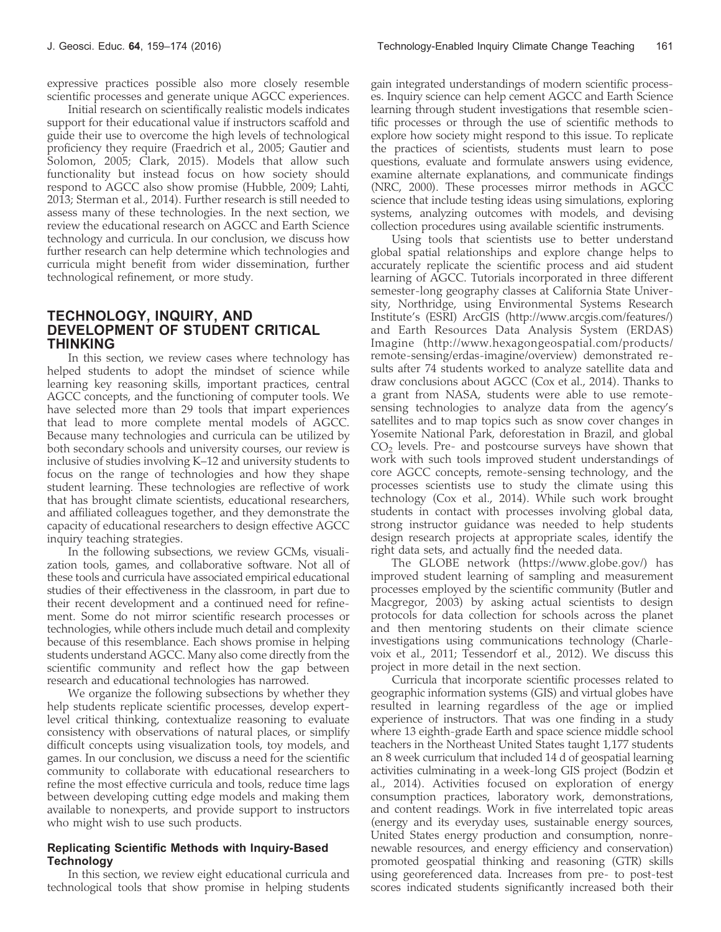expressive practices possible also more closely resemble scientific processes and generate unique AGCC experiences.

Initial research on scientifically realistic models indicates support for their educational value if instructors scaffold and guide their use to overcome the high levels of technological proficiency they require (Fraedrich et al., 2005; Gautier and Solomon, 2005; Clark, 2015). Models that allow such functionality but instead focus on how society should respond to AGCC also show promise (Hubble, 2009; Lahti, 2013; Sterman et al., 2014). Further research is still needed to assess many of these technologies. In the next section, we review the educational research on AGCC and Earth Science technology and curricula. In our conclusion, we discuss how further research can help determine which technologies and curricula might benefit from wider dissemination, further technological refinement, or more study.

#### TECHNOLOGY, INQUIRY, AND DEVELOPMENT OF STUDENT CRITICAL THINKING

In this section, we review cases where technology has helped students to adopt the mindset of science while learning key reasoning skills, important practices, central AGCC concepts, and the functioning of computer tools. We have selected more than 29 tools that impart experiences that lead to more complete mental models of AGCC. Because many technologies and curricula can be utilized by both secondary schools and university courses, our review is inclusive of studies involving K–12 and university students to focus on the range of technologies and how they shape student learning. These technologies are reflective of work that has brought climate scientists, educational researchers, and affiliated colleagues together, and they demonstrate the capacity of educational researchers to design effective AGCC inquiry teaching strategies.

In the following subsections, we review GCMs, visualization tools, games, and collaborative software. Not all of these tools and curricula have associated empirical educational studies of their effectiveness in the classroom, in part due to their recent development and a continued need for refinement. Some do not mirror scientific research processes or technologies, while others include much detail and complexity because of this resemblance. Each shows promise in helping students understand AGCC. Many also come directly from the scientific community and reflect how the gap between research and educational technologies has narrowed.

We organize the following subsections by whether they help students replicate scientific processes, develop expertlevel critical thinking, contextualize reasoning to evaluate consistency with observations of natural places, or simplify difficult concepts using visualization tools, toy models, and games. In our conclusion, we discuss a need for the scientific community to collaborate with educational researchers to refine the most effective curricula and tools, reduce time lags between developing cutting edge models and making them available to nonexperts, and provide support to instructors who might wish to use such products.

#### Replicating Scientific Methods with Inquiry-Based Technology

In this section, we review eight educational curricula and technological tools that show promise in helping students gain integrated understandings of modern scientific processes. Inquiry science can help cement AGCC and Earth Science learning through student investigations that resemble scientific processes or through the use of scientific methods to explore how society might respond to this issue. To replicate the practices of scientists, students must learn to pose questions, evaluate and formulate answers using evidence, examine alternate explanations, and communicate findings (NRC, 2000). These processes mirror methods in AGCC science that include testing ideas using simulations, exploring systems, analyzing outcomes with models, and devising collection procedures using available scientific instruments.

Using tools that scientists use to better understand global spatial relationships and explore change helps to accurately replicate the scientific process and aid student learning of AGCC. Tutorials incorporated in three different semester-long geography classes at California State University, Northridge, using Environmental Systems Research Institute's (ESRI) ArcGIS (http://www.arcgis.com/features/) and Earth Resources Data Analysis System (ERDAS) Imagine (http://www.hexagongeospatial.com/products/ remote-sensing/erdas-imagine/overview) demonstrated results after 74 students worked to analyze satellite data and draw conclusions about AGCC (Cox et al., 2014). Thanks to a grant from NASA, students were able to use remotesensing technologies to analyze data from the agency's satellites and to map topics such as snow cover changes in Yosemite National Park, deforestation in Brazil, and global  $CO<sub>2</sub>$  levels. Pre- and postcourse surveys have shown that work with such tools improved student understandings of core AGCC concepts, remote-sensing technology, and the processes scientists use to study the climate using this technology (Cox et al., 2014). While such work brought students in contact with processes involving global data, strong instructor guidance was needed to help students design research projects at appropriate scales, identify the right data sets, and actually find the needed data.

The GLOBE network (https://www.globe.gov/) has improved student learning of sampling and measurement processes employed by the scientific community (Butler and Macgregor, 2003) by asking actual scientists to design protocols for data collection for schools across the planet and then mentoring students on their climate science investigations using communications technology (Charlevoix et al., 2011; Tessendorf et al., 2012). We discuss this project in more detail in the next section.

Curricula that incorporate scientific processes related to geographic information systems (GIS) and virtual globes have resulted in learning regardless of the age or implied experience of instructors. That was one finding in a study where 13 eighth-grade Earth and space science middle school teachers in the Northeast United States taught 1,177 students an 8 week curriculum that included 14 d of geospatial learning activities culminating in a week-long GIS project (Bodzin et al., 2014). Activities focused on exploration of energy consumption practices, laboratory work, demonstrations, and content readings. Work in five interrelated topic areas (energy and its everyday uses, sustainable energy sources, United States energy production and consumption, nonrenewable resources, and energy efficiency and conservation) promoted geospatial thinking and reasoning (GTR) skills using georeferenced data. Increases from pre- to post-test scores indicated students significantly increased both their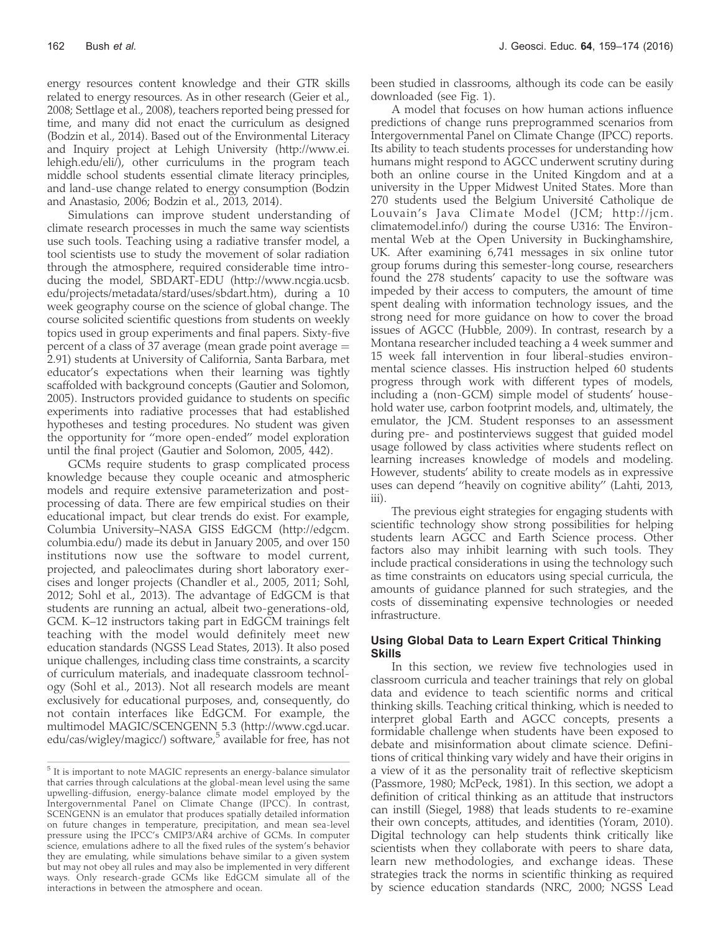162 Bush et al. J. Geosci. Educ. 64, 159–174 (2016)

energy resources content knowledge and their GTR skills related to energy resources. As in other research (Geier et al., 2008; Settlage et al., 2008), teachers reported being pressed for time, and many did not enact the curriculum as designed (Bodzin et al., 2014). Based out of the Environmental Literacy and Inquiry project at Lehigh University (http://www.ei. lehigh.edu/eli/), other curriculums in the program teach middle school students essential climate literacy principles, and land-use change related to energy consumption (Bodzin and Anastasio, 2006; Bodzin et al., 2013, 2014).

Simulations can improve student understanding of climate research processes in much the same way scientists use such tools. Teaching using a radiative transfer model, a tool scientists use to study the movement of solar radiation through the atmosphere, required considerable time introducing the model, SBDART-EDU (http://www.ncgia.ucsb. edu/projects/metadata/stard/uses/sbdart.htm), during a 10 week geography course on the science of global change. The course solicited scientific questions from students on weekly topics used in group experiments and final papers. Sixty-five percent of a class of 37 average (mean grade point average  $=$ 2.91) students at University of California, Santa Barbara, met educator's expectations when their learning was tightly scaffolded with background concepts (Gautier and Solomon, 2005). Instructors provided guidance to students on specific experiments into radiative processes that had established hypotheses and testing procedures. No student was given the opportunity for ''more open-ended'' model exploration until the final project (Gautier and Solomon, 2005, 442).

GCMs require students to grasp complicated process knowledge because they couple oceanic and atmospheric models and require extensive parameterization and postprocessing of data. There are few empirical studies on their educational impact, but clear trends do exist. For example, Columbia University–NASA GISS EdGCM (http://edgcm. columbia.edu/) made its debut in January 2005, and over 150 institutions now use the software to model current, projected, and paleoclimates during short laboratory exercises and longer projects (Chandler et al., 2005, 2011; Sohl, 2012; Sohl et al., 2013). The advantage of EdGCM is that students are running an actual, albeit two-generations-old, GCM. K–12 instructors taking part in EdGCM trainings felt teaching with the model would definitely meet new education standards (NGSS Lead States, 2013). It also posed unique challenges, including class time constraints, a scarcity of curriculum materials, and inadequate classroom technology (Sohl et al., 2013). Not all research models are meant exclusively for educational purposes, and, consequently, do not contain interfaces like EdGCM. For example, the multimodel MAGIC/SCENGENN 5.3 (http://www.cgd.ucar. edu/cas/wigley/magicc/) software,<sup>5</sup> available for free, has not been studied in classrooms, although its code can be easily downloaded (see Fig. 1).

A model that focuses on how human actions influence predictions of change runs preprogrammed scenarios from Intergovernmental Panel on Climate Change (IPCC) reports. Its ability to teach students processes for understanding how humans might respond to AGCC underwent scrutiny during both an online course in the United Kingdom and at a university in the Upper Midwest United States. More than 270 students used the Belgium Université Catholique de Louvain's Java Climate Model (JCM; http://jcm. climatemodel.info/) during the course U316: The Environmental Web at the Open University in Buckinghamshire, UK. After examining 6,741 messages in six online tutor group forums during this semester-long course, researchers found the 278 students' capacity to use the software was impeded by their access to computers, the amount of time spent dealing with information technology issues, and the strong need for more guidance on how to cover the broad issues of AGCC (Hubble, 2009). In contrast, research by a Montana researcher included teaching a 4 week summer and 15 week fall intervention in four liberal-studies environmental science classes. His instruction helped 60 students progress through work with different types of models, including a (non-GCM) simple model of students' household water use, carbon footprint models, and, ultimately, the emulator, the JCM. Student responses to an assessment during pre- and postinterviews suggest that guided model usage followed by class activities where students reflect on learning increases knowledge of models and modeling. However, students' ability to create models as in expressive uses can depend ''heavily on cognitive ability'' (Lahti, 2013, iii).

The previous eight strategies for engaging students with scientific technology show strong possibilities for helping students learn AGCC and Earth Science process. Other factors also may inhibit learning with such tools. They include practical considerations in using the technology such as time constraints on educators using special curricula, the amounts of guidance planned for such strategies, and the costs of disseminating expensive technologies or needed infrastructure.

#### Using Global Data to Learn Expert Critical Thinking Skills

In this section, we review five technologies used in classroom curricula and teacher trainings that rely on global data and evidence to teach scientific norms and critical thinking skills. Teaching critical thinking, which is needed to interpret global Earth and AGCC concepts, presents a formidable challenge when students have been exposed to debate and misinformation about climate science. Definitions of critical thinking vary widely and have their origins in a view of it as the personality trait of reflective skepticism (Passmore, 1980; McPeck, 1981). In this section, we adopt a definition of critical thinking as an attitude that instructors can instill (Siegel, 1988) that leads students to re-examine their own concepts, attitudes, and identities (Yoram, 2010). Digital technology can help students think critically like scientists when they collaborate with peers to share data, learn new methodologies, and exchange ideas. These strategies track the norms in scientific thinking as required by science education standards (NRC, 2000; NGSS Lead

 $^{\rm 5}$  It is important to note MAGIC represents an energy-balance simulator that carries through calculations at the global-mean level using the same upwelling-diffusion, energy-balance climate model employed by the Intergovernmental Panel on Climate Change (IPCC). In contrast, SCENGENN is an emulator that produces spatially detailed information on future changes in temperature, precipitation, and mean sea-level pressure using the IPCC's CMIP3/AR4 archive of GCMs. In computer science, emulations adhere to all the fixed rules of the system's behavior they are emulating, while simulations behave similar to a given system but may not obey all rules and may also be implemented in very different ways. Only research-grade GCMs like EdGCM simulate all of the interactions in between the atmosphere and ocean.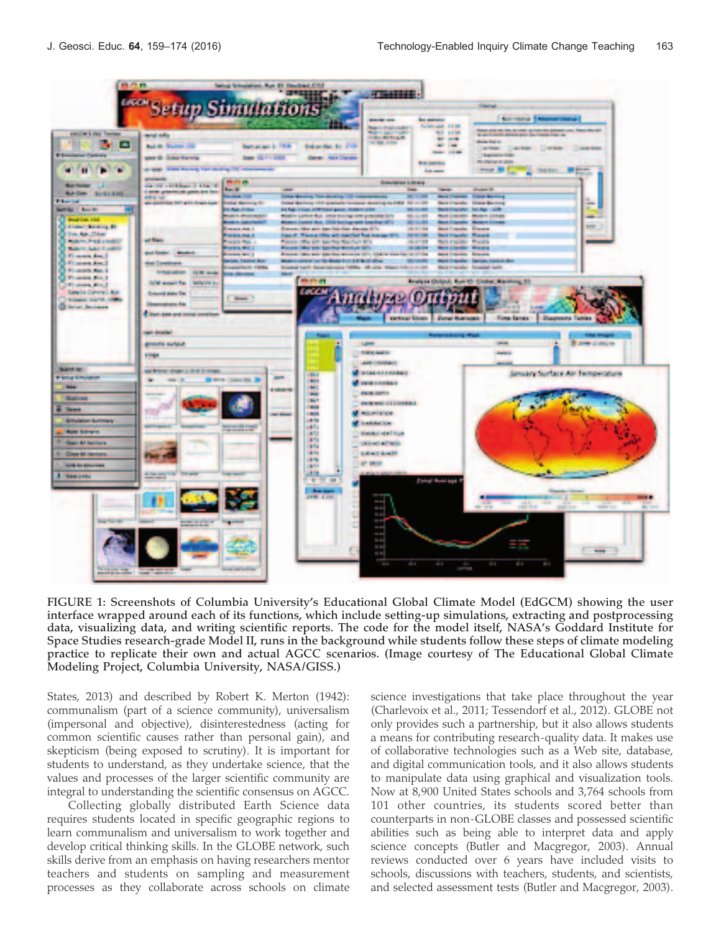

FIGURE 1: Screenshots of Columbia University's Educational Global Climate Model (EdGCM) showing the user interface wrapped around each of its functions, which include setting-up simulations, extracting and postprocessing data, visualizing data, and writing scientific reports. The code for the model itself, NASA's Goddard Institute for Space Studies research-grade Model II, runs in the background while students follow these steps of climate modeling practice to replicate their own and actual AGCC scenarios. (Image courtesy of The Educational Global Climate Modeling Project, Columbia University, NASA/GISS.)

States, 2013) and described by Robert K. Merton (1942): communalism (part of a science community), universalism (impersonal and objective), disinterestedness (acting for common scientific causes rather than personal gain), and skepticism (being exposed to scrutiny). It is important for students to understand, as they undertake science, that the values and processes of the larger scientific community are integral to understanding the scientific consensus on AGCC.

Collecting globally distributed Earth Science data requires students located in specific geographic regions to learn communalism and universalism to work together and develop critical thinking skills. In the GLOBE network, such skills derive from an emphasis on having researchers mentor teachers and students on sampling and measurement processes as they collaborate across schools on climate

science investigations that take place throughout the year (Charlevoix et al., 2011; Tessendorf et al., 2012). GLOBE not only provides such a partnership, but it also allows students a means for contributing research-quality data. It makes use of collaborative technologies such as a Web site, database, and digital communication tools, and it also allows students to manipulate data using graphical and visualization tools. Now at 8,900 United States schools and 3,764 schools from 101 other countries, its students scored better than counterparts in non-GLOBE classes and possessed scientific abilities such as being able to interpret data and apply science concepts (Butler and Macgregor, 2003). Annual reviews conducted over 6 years have included visits to schools, discussions with teachers, students, and scientists, and selected assessment tests (Butler and Macgregor, 2003).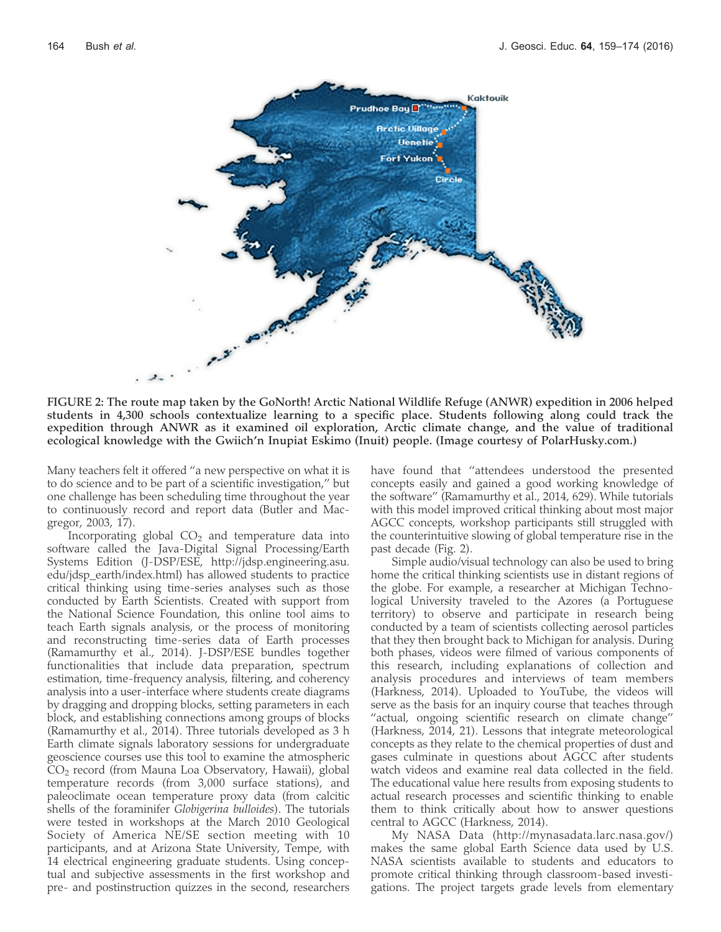

FIGURE 2: The route map taken by the GoNorth! Arctic National Wildlife Refuge (ANWR) expedition in 2006 helped students in 4,300 schools contextualize learning to a specific place. Students following along could track the expedition through ANWR as it examined oil exploration, Arctic climate change, and the value of traditional ecological knowledge with the Gwiich'n Inupiat Eskimo (Inuit) people. (Image courtesy of PolarHusky.com.)

Many teachers felt it offered ''a new perspective on what it is to do science and to be part of a scientific investigation,'' but one challenge has been scheduling time throughout the year to continuously record and report data (Butler and Macgregor, 2003, 17).

Incorporating global  $CO<sub>2</sub>$  and temperature data into software called the Java-Digital Signal Processing/Earth Systems Edition (J-DSP/ESE, http://jdsp.engineering.asu. edu/jdsp\_earth/index.html) has allowed students to practice critical thinking using time-series analyses such as those conducted by Earth Scientists. Created with support from the National Science Foundation, this online tool aims to teach Earth signals analysis, or the process of monitoring and reconstructing time-series data of Earth processes (Ramamurthy et al., 2014). J-DSP/ESE bundles together functionalities that include data preparation, spectrum estimation, time-frequency analysis, filtering, and coherency analysis into a user-interface where students create diagrams by dragging and dropping blocks, setting parameters in each block, and establishing connections among groups of blocks (Ramamurthy et al., 2014). Three tutorials developed as 3 h Earth climate signals laboratory sessions for undergraduate geoscience courses use this tool to examine the atmospheric CO2 record (from Mauna Loa Observatory, Hawaii), global temperature records (from 3,000 surface stations), and paleoclimate ocean temperature proxy data (from calcitic shells of the foraminifer Globigerina bulloides). The tutorials were tested in workshops at the March 2010 Geological Society of America NE/SE section meeting with 10 participants, and at Arizona State University, Tempe, with 14 electrical engineering graduate students. Using conceptual and subjective assessments in the first workshop and pre- and postinstruction quizzes in the second, researchers

have found that ''attendees understood the presented concepts easily and gained a good working knowledge of the software'' (Ramamurthy et al., 2014, 629). While tutorials with this model improved critical thinking about most major AGCC concepts, workshop participants still struggled with the counterintuitive slowing of global temperature rise in the past decade (Fig. 2).

Simple audio/visual technology can also be used to bring home the critical thinking scientists use in distant regions of the globe. For example, a researcher at Michigan Technological University traveled to the Azores (a Portuguese territory) to observe and participate in research being conducted by a team of scientists collecting aerosol particles that they then brought back to Michigan for analysis. During both phases, videos were filmed of various components of this research, including explanations of collection and analysis procedures and interviews of team members (Harkness, 2014). Uploaded to YouTube, the videos will serve as the basis for an inquiry course that teaches through ''actual, ongoing scientific research on climate change'' (Harkness, 2014, 21). Lessons that integrate meteorological concepts as they relate to the chemical properties of dust and gases culminate in questions about AGCC after students watch videos and examine real data collected in the field. The educational value here results from exposing students to actual research processes and scientific thinking to enable them to think critically about how to answer questions central to AGCC (Harkness, 2014).

My NASA Data (http://mynasadata.larc.nasa.gov/) makes the same global Earth Science data used by U.S. NASA scientists available to students and educators to promote critical thinking through classroom-based investigations. The project targets grade levels from elementary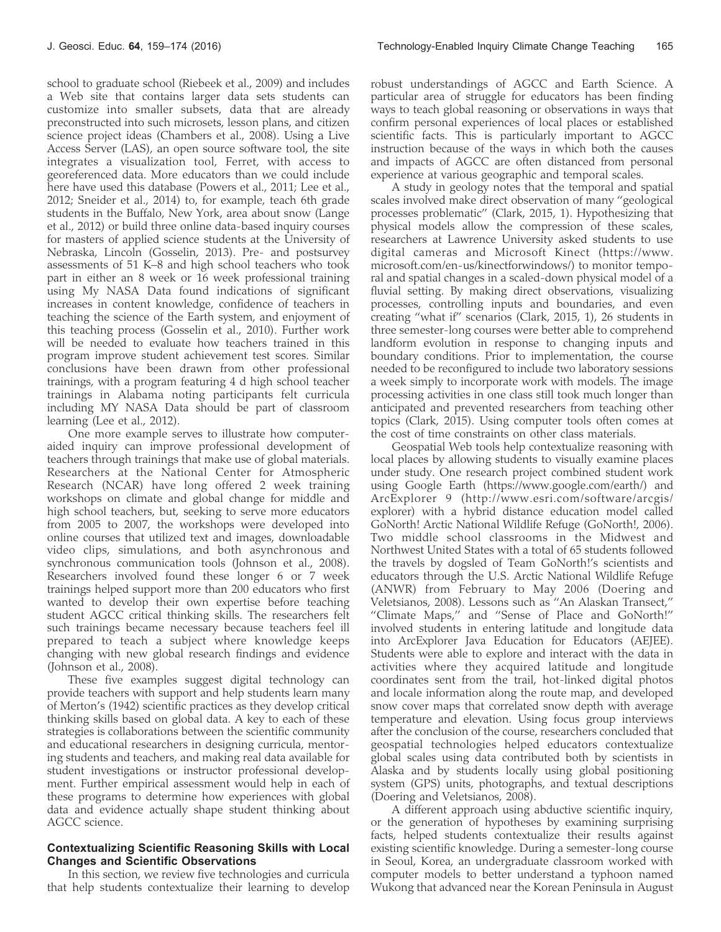school to graduate school (Riebeek et al., 2009) and includes a Web site that contains larger data sets students can customize into smaller subsets, data that are already preconstructed into such microsets, lesson plans, and citizen science project ideas (Chambers et al., 2008). Using a Live Access Server (LAS), an open source software tool, the site integrates a visualization tool, Ferret, with access to georeferenced data. More educators than we could include here have used this database (Powers et al., 2011; Lee et al., 2012; Sneider et al., 2014) to, for example, teach 6th grade students in the Buffalo, New York, area about snow (Lange et al., 2012) or build three online data-based inquiry courses for masters of applied science students at the University of Nebraska, Lincoln (Gosselin, 2013). Pre- and postsurvey assessments of 51 K–8 and high school teachers who took part in either an 8 week or 16 week professional training using My NASA Data found indications of significant increases in content knowledge, confidence of teachers in teaching the science of the Earth system, and enjoyment of this teaching process (Gosselin et al., 2010). Further work will be needed to evaluate how teachers trained in this program improve student achievement test scores. Similar conclusions have been drawn from other professional trainings, with a program featuring 4 d high school teacher trainings in Alabama noting participants felt curricula including MY NASA Data should be part of classroom learning (Lee et al., 2012).

One more example serves to illustrate how computeraided inquiry can improve professional development of teachers through trainings that make use of global materials. Researchers at the National Center for Atmospheric Research (NCAR) have long offered 2 week training workshops on climate and global change for middle and high school teachers, but, seeking to serve more educators from 2005 to 2007, the workshops were developed into online courses that utilized text and images, downloadable video clips, simulations, and both asynchronous and synchronous communication tools (Johnson et al., 2008). Researchers involved found these longer 6 or 7 week trainings helped support more than 200 educators who first wanted to develop their own expertise before teaching student AGCC critical thinking skills. The researchers felt such trainings became necessary because teachers feel ill prepared to teach a subject where knowledge keeps changing with new global research findings and evidence (Johnson et al., 2008).

These five examples suggest digital technology can provide teachers with support and help students learn many of Merton's (1942) scientific practices as they develop critical thinking skills based on global data. A key to each of these strategies is collaborations between the scientific community and educational researchers in designing curricula, mentoring students and teachers, and making real data available for student investigations or instructor professional development. Further empirical assessment would help in each of these programs to determine how experiences with global data and evidence actually shape student thinking about AGCC science.

#### Contextualizing Scientific Reasoning Skills with Local Changes and Scientific Observations

In this section, we review five technologies and curricula that help students contextualize their learning to develop

robust understandings of AGCC and Earth Science. A particular area of struggle for educators has been finding ways to teach global reasoning or observations in ways that confirm personal experiences of local places or established scientific facts. This is particularly important to AGCC instruction because of the ways in which both the causes and impacts of AGCC are often distanced from personal experience at various geographic and temporal scales.

A study in geology notes that the temporal and spatial scales involved make direct observation of many ''geological processes problematic'' (Clark, 2015, 1). Hypothesizing that physical models allow the compression of these scales, researchers at Lawrence University asked students to use digital cameras and Microsoft Kinect (https://www. microsoft.com/en-us/kinectforwindows/) to monitor temporal and spatial changes in a scaled-down physical model of a fluvial setting. By making direct observations, visualizing processes, controlling inputs and boundaries, and even creating ''what if'' scenarios (Clark, 2015, 1), 26 students in three semester-long courses were better able to comprehend landform evolution in response to changing inputs and boundary conditions. Prior to implementation, the course needed to be reconfigured to include two laboratory sessions a week simply to incorporate work with models. The image processing activities in one class still took much longer than anticipated and prevented researchers from teaching other topics (Clark, 2015). Using computer tools often comes at the cost of time constraints on other class materials.

Geospatial Web tools help contextualize reasoning with local places by allowing students to visually examine places under study. One research project combined student work using Google Earth (https://www.google.com/earth/) and ArcExplorer 9 (http://www.esri.com/software/arcgis/ explorer) with a hybrid distance education model called GoNorth! Arctic National Wildlife Refuge (GoNorth!, 2006). Two middle school classrooms in the Midwest and Northwest United States with a total of 65 students followed the travels by dogsled of Team GoNorth!'s scientists and educators through the U.S. Arctic National Wildlife Refuge (ANWR) from February to May 2006 (Doering and Veletsianos, 2008). Lessons such as ''An Alaskan Transect,'' ''Climate Maps,'' and ''Sense of Place and GoNorth!'' involved students in entering latitude and longitude data into ArcExplorer Java Education for Educators (AEJEE). Students were able to explore and interact with the data in activities where they acquired latitude and longitude coordinates sent from the trail, hot-linked digital photos and locale information along the route map, and developed snow cover maps that correlated snow depth with average temperature and elevation. Using focus group interviews after the conclusion of the course, researchers concluded that geospatial technologies helped educators contextualize global scales using data contributed both by scientists in Alaska and by students locally using global positioning system (GPS) units, photographs, and textual descriptions (Doering and Veletsianos, 2008).

A different approach using abductive scientific inquiry, or the generation of hypotheses by examining surprising facts, helped students contextualize their results against existing scientific knowledge. During a semester-long course in Seoul, Korea, an undergraduate classroom worked with computer models to better understand a typhoon named Wukong that advanced near the Korean Peninsula in August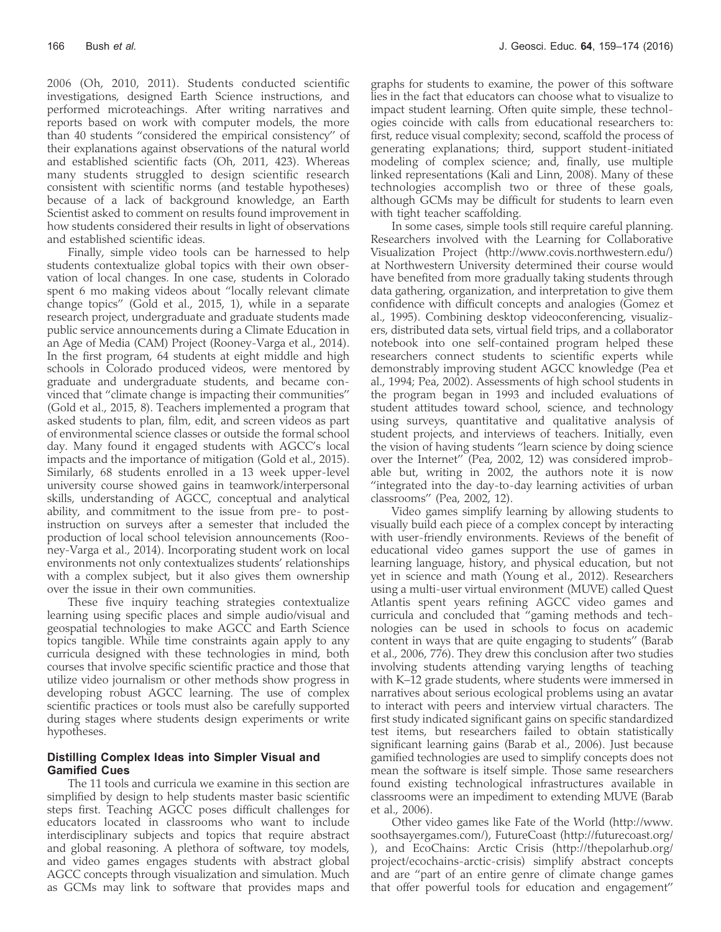2006 (Oh, 2010, 2011). Students conducted scientific investigations, designed Earth Science instructions, and performed microteachings. After writing narratives and reports based on work with computer models, the more than 40 students ''considered the empirical consistency'' of their explanations against observations of the natural world and established scientific facts (Oh, 2011, 423). Whereas many students struggled to design scientific research consistent with scientific norms (and testable hypotheses) because of a lack of background knowledge, an Earth Scientist asked to comment on results found improvement in how students considered their results in light of observations and established scientific ideas.

Finally, simple video tools can be harnessed to help students contextualize global topics with their own observation of local changes. In one case, students in Colorado spent 6 mo making videos about ''locally relevant climate change topics'' (Gold et al., 2015, 1), while in a separate research project, undergraduate and graduate students made public service announcements during a Climate Education in an Age of Media (CAM) Project (Rooney-Varga et al., 2014). In the first program, 64 students at eight middle and high schools in Colorado produced videos, were mentored by graduate and undergraduate students, and became convinced that ''climate change is impacting their communities'' (Gold et al., 2015, 8). Teachers implemented a program that asked students to plan, film, edit, and screen videos as part of environmental science classes or outside the formal school day. Many found it engaged students with AGCC's local impacts and the importance of mitigation (Gold et al., 2015). Similarly, 68 students enrolled in a 13 week upper-level university course showed gains in teamwork/interpersonal skills, understanding of AGCC, conceptual and analytical ability, and commitment to the issue from pre- to postinstruction on surveys after a semester that included the production of local school television announcements (Rooney-Varga et al., 2014). Incorporating student work on local environments not only contextualizes students' relationships with a complex subject, but it also gives them ownership over the issue in their own communities.

These five inquiry teaching strategies contextualize learning using specific places and simple audio/visual and geospatial technologies to make AGCC and Earth Science topics tangible. While time constraints again apply to any curricula designed with these technologies in mind, both courses that involve specific scientific practice and those that utilize video journalism or other methods show progress in developing robust AGCC learning. The use of complex scientific practices or tools must also be carefully supported during stages where students design experiments or write hypotheses.

#### Distilling Complex Ideas into Simpler Visual and Gamified Cues

The 11 tools and curricula we examine in this section are simplified by design to help students master basic scientific steps first. Teaching AGCC poses difficult challenges for educators located in classrooms who want to include interdisciplinary subjects and topics that require abstract and global reasoning. A plethora of software, toy models, and video games engages students with abstract global AGCC concepts through visualization and simulation. Much as GCMs may link to software that provides maps and

graphs for students to examine, the power of this software lies in the fact that educators can choose what to visualize to impact student learning. Often quite simple, these technologies coincide with calls from educational researchers to: first, reduce visual complexity; second, scaffold the process of generating explanations; third, support student-initiated modeling of complex science; and, finally, use multiple linked representations (Kali and Linn, 2008). Many of these technologies accomplish two or three of these goals, although GCMs may be difficult for students to learn even with tight teacher scaffolding.

In some cases, simple tools still require careful planning. Researchers involved with the Learning for Collaborative Visualization Project (http://www.covis.northwestern.edu/) at Northwestern University determined their course would have benefited from more gradually taking students through data gathering, organization, and interpretation to give them confidence with difficult concepts and analogies (Gomez et al., 1995). Combining desktop videoconferencing, visualizers, distributed data sets, virtual field trips, and a collaborator notebook into one self-contained program helped these researchers connect students to scientific experts while demonstrably improving student AGCC knowledge (Pea et al., 1994; Pea, 2002). Assessments of high school students in the program began in 1993 and included evaluations of student attitudes toward school, science, and technology using surveys, quantitative and qualitative analysis of student projects, and interviews of teachers. Initially, even the vision of having students ''learn science by doing science over the Internet'' (Pea, 2002, 12) was considered improbable but, writing in 2002, the authors note it is now ''integrated into the day-to-day learning activities of urban classrooms'' (Pea, 2002, 12).

Video games simplify learning by allowing students to visually build each piece of a complex concept by interacting with user-friendly environments. Reviews of the benefit of educational video games support the use of games in learning language, history, and physical education, but not yet in science and math (Young et al., 2012). Researchers using a multi-user virtual environment (MUVE) called Quest Atlantis spent years refining AGCC video games and curricula and concluded that ''gaming methods and technologies can be used in schools to focus on academic content in ways that are quite engaging to students'' (Barab et al., 2006, 776). They drew this conclusion after two studies involving students attending varying lengths of teaching with K–12 grade students, where students were immersed in narratives about serious ecological problems using an avatar to interact with peers and interview virtual characters. The first study indicated significant gains on specific standardized test items, but researchers failed to obtain statistically significant learning gains (Barab et al., 2006). Just because gamified technologies are used to simplify concepts does not mean the software is itself simple. Those same researchers found existing technological infrastructures available in classrooms were an impediment to extending MUVE (Barab et al., 2006).

Other video games like Fate of the World (http://www. soothsayergames.com/), FutureCoast (http://futurecoast.org/ ), and EcoChains: Arctic Crisis (http://thepolarhub.org/ project/ecochains-arctic-crisis) simplify abstract concepts and are ''part of an entire genre of climate change games that offer powerful tools for education and engagement''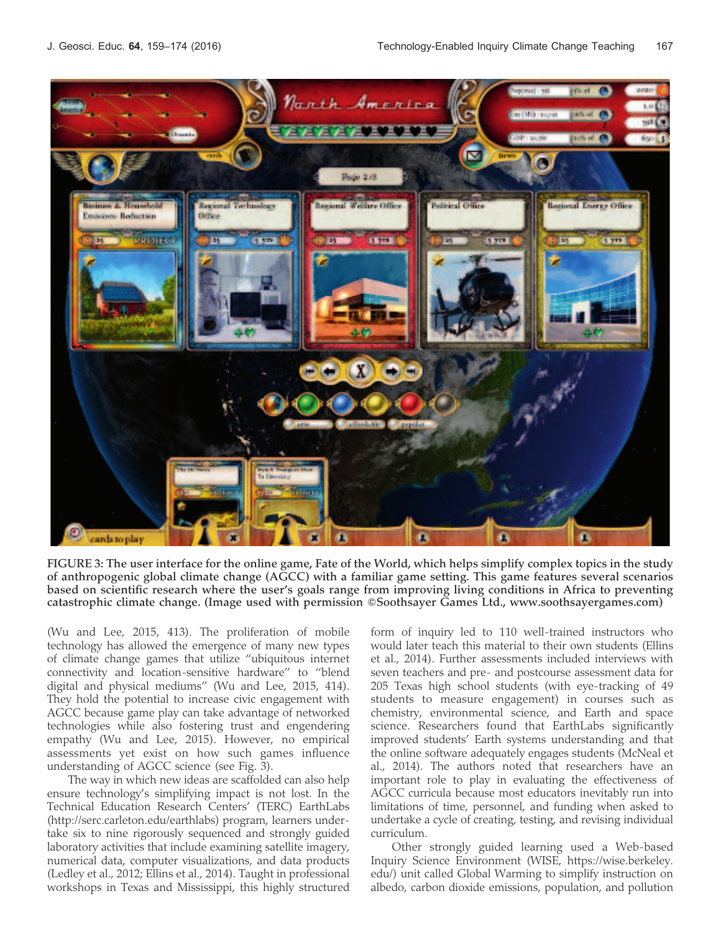

FIGURE 3: The user interface for the online game, Fate of the World, which helps simplify complex topics in the study of anthropogenic global climate change (AGCC) with a familiar game setting. This game features several scenarios based on scientific research where the user's goals range from improving living conditions in Africa to preventing catastrophic climate change. (Image used with permission QSoothsayer Games Ltd., www.soothsayergames.com)

(Wu and Lee, 2015, 413). The proliferation of mobile technology has allowed the emergence of many new types of climate change games that utilize ''ubiquitous internet connectivity and location-sensitive hardware'' to ''blend digital and physical mediums'' (Wu and Lee, 2015, 414). They hold the potential to increase civic engagement with AGCC because game play can take advantage of networked technologies while also fostering trust and engendering empathy (Wu and Lee, 2015). However, no empirical assessments yet exist on how such games influence understanding of AGCC science (see Fig. 3).

The way in which new ideas are scaffolded can also help ensure technology's simplifying impact is not lost. In the Technical Education Research Centers' (TERC) EarthLabs (http://serc.carleton.edu/earthlabs) program, learners undertake six to nine rigorously sequenced and strongly guided laboratory activities that include examining satellite imagery, numerical data, computer visualizations, and data products (Ledley et al., 2012; Ellins et al., 2014). Taught in professional workshops in Texas and Mississippi, this highly structured form of inquiry led to 110 well-trained instructors who would later teach this material to their own students (Ellins et al., 2014). Further assessments included interviews with seven teachers and pre- and postcourse assessment data for 205 Texas high school students (with eye-tracking of 49 students to measure engagement) in courses such as chemistry, environmental science, and Earth and space science. Researchers found that EarthLabs significantly improved students' Earth systems understanding and that the online software adequately engages students (McNeal et al., 2014). The authors noted that researchers have an important role to play in evaluating the effectiveness of AGCC curricula because most educators inevitably run into limitations of time, personnel, and funding when asked to undertake a cycle of creating, testing, and revising individual curriculum.

Other strongly guided learning used a Web-based Inquiry Science Environment (WISE, https://wise.berkeley. edu/) unit called Global Warming to simplify instruction on albedo, carbon dioxide emissions, population, and pollution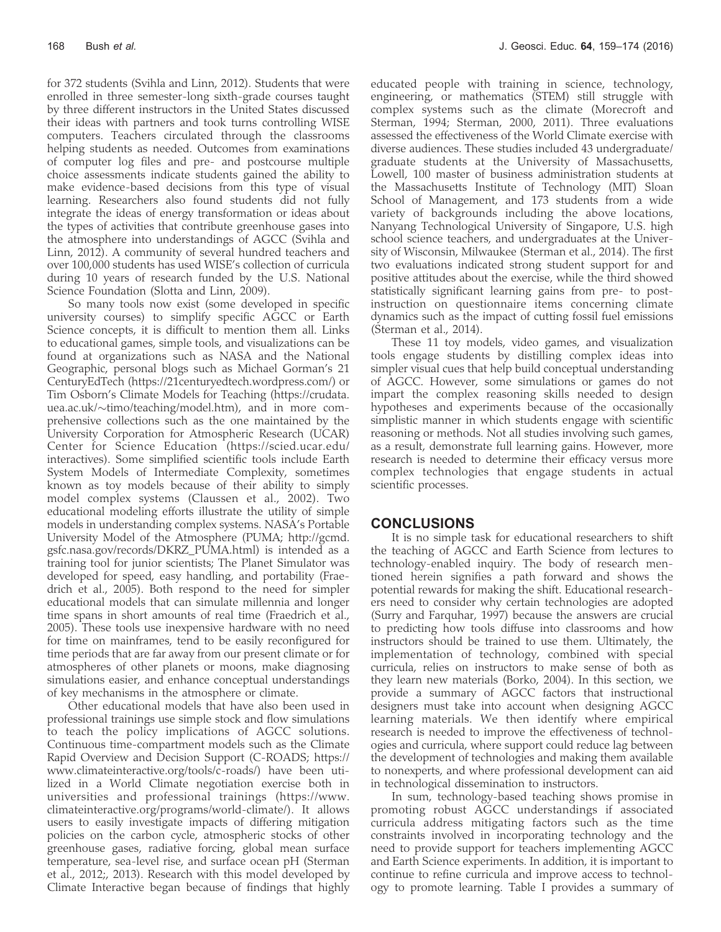for 372 students (Svihla and Linn, 2012). Students that were enrolled in three semester-long sixth-grade courses taught by three different instructors in the United States discussed their ideas with partners and took turns controlling WISE computers. Teachers circulated through the classrooms helping students as needed. Outcomes from examinations of computer log files and pre- and postcourse multiple choice assessments indicate students gained the ability to make evidence-based decisions from this type of visual learning. Researchers also found students did not fully integrate the ideas of energy transformation or ideas about the types of activities that contribute greenhouse gases into the atmosphere into understandings of AGCC (Svihla and Linn, 2012). A community of several hundred teachers and over 100,000 students has used WISE's collection of curricula during 10 years of research funded by the U.S. National Science Foundation (Slotta and Linn, 2009).

So many tools now exist (some developed in specific university courses) to simplify specific AGCC or Earth Science concepts, it is difficult to mention them all. Links to educational games, simple tools, and visualizations can be found at organizations such as NASA and the National Geographic, personal blogs such as Michael Gorman's 21 CenturyEdTech (https://21centuryedtech.wordpress.com/) or Tim Osborn's Climate Models for Teaching (https://crudata. uea.ac.uk/~timo/teaching/model.htm), and in more comprehensive collections such as the one maintained by the University Corporation for Atmospheric Research (UCAR) Center for Science Education (https://scied.ucar.edu/ interactives). Some simplified scientific tools include Earth System Models of Intermediate Complexity, sometimes known as toy models because of their ability to simply model complex systems (Claussen et al., 2002). Two educational modeling efforts illustrate the utility of simple models in understanding complex systems. NASA's Portable University Model of the Atmosphere (PUMA; http://gcmd. gsfc.nasa.gov/records/DKRZ\_PUMA.html) is intended as a training tool for junior scientists; The Planet Simulator was developed for speed, easy handling, and portability (Fraedrich et al., 2005). Both respond to the need for simpler educational models that can simulate millennia and longer time spans in short amounts of real time (Fraedrich et al., 2005). These tools use inexpensive hardware with no need for time on mainframes, tend to be easily reconfigured for time periods that are far away from our present climate or for atmospheres of other planets or moons, make diagnosing simulations easier, and enhance conceptual understandings of key mechanisms in the atmosphere or climate.

Other educational models that have also been used in professional trainings use simple stock and flow simulations to teach the policy implications of AGCC solutions. Continuous time-compartment models such as the Climate Rapid Overview and Decision Support (C-ROADS; https:// www.climateinteractive.org/tools/c-roads/) have been utilized in a World Climate negotiation exercise both in universities and professional trainings (https://www. climateinteractive.org/programs/world-climate/). It allows users to easily investigate impacts of differing mitigation policies on the carbon cycle, atmospheric stocks of other greenhouse gases, radiative forcing, global mean surface temperature, sea-level rise, and surface ocean pH (Sterman et al., 2012;, 2013). Research with this model developed by Climate Interactive began because of findings that highly

educated people with training in science, technology, engineering, or mathematics (STEM) still struggle with complex systems such as the climate (Morecroft and Sterman, 1994; Sterman, 2000, 2011). Three evaluations assessed the effectiveness of the World Climate exercise with diverse audiences. These studies included 43 undergraduate/ graduate students at the University of Massachusetts, Lowell, 100 master of business administration students at the Massachusetts Institute of Technology (MIT) Sloan School of Management, and 173 students from a wide variety of backgrounds including the above locations, Nanyang Technological University of Singapore, U.S. high school science teachers, and undergraduates at the University of Wisconsin, Milwaukee (Sterman et al., 2014). The first two evaluations indicated strong student support for and positive attitudes about the exercise, while the third showed statistically significant learning gains from pre- to postinstruction on questionnaire items concerning climate dynamics such as the impact of cutting fossil fuel emissions (Sterman et al., 2014).

These 11 toy models, video games, and visualization tools engage students by distilling complex ideas into simpler visual cues that help build conceptual understanding of AGCC. However, some simulations or games do not impart the complex reasoning skills needed to design hypotheses and experiments because of the occasionally simplistic manner in which students engage with scientific reasoning or methods. Not all studies involving such games, as a result, demonstrate full learning gains. However, more research is needed to determine their efficacy versus more complex technologies that engage students in actual scientific processes.

#### CONCLUSIONS

It is no simple task for educational researchers to shift the teaching of AGCC and Earth Science from lectures to technology-enabled inquiry. The body of research mentioned herein signifies a path forward and shows the potential rewards for making the shift. Educational researchers need to consider why certain technologies are adopted (Surry and Farquhar, 1997) because the answers are crucial to predicting how tools diffuse into classrooms and how instructors should be trained to use them. Ultimately, the implementation of technology, combined with special curricula, relies on instructors to make sense of both as they learn new materials (Borko, 2004). In this section, we provide a summary of AGCC factors that instructional designers must take into account when designing AGCC learning materials. We then identify where empirical research is needed to improve the effectiveness of technologies and curricula, where support could reduce lag between the development of technologies and making them available to nonexperts, and where professional development can aid in technological dissemination to instructors.

In sum, technology-based teaching shows promise in promoting robust AGCC understandings if associated curricula address mitigating factors such as the time constraints involved in incorporating technology and the need to provide support for teachers implementing AGCC and Earth Science experiments. In addition, it is important to continue to refine curricula and improve access to technology to promote learning. Table I provides a summary of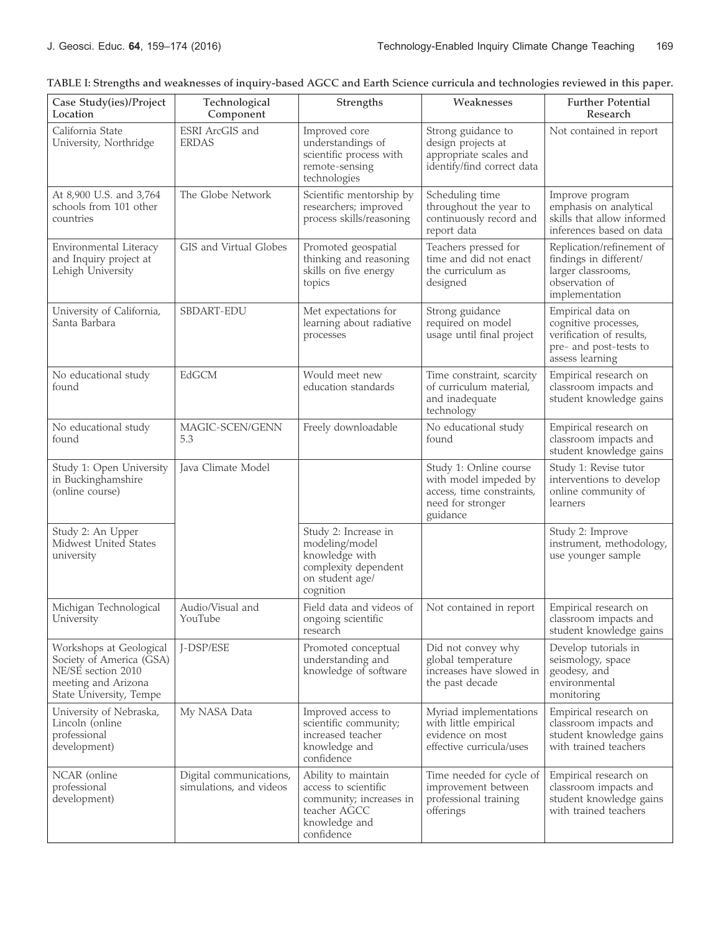| TABLE I: Strengths and weaknesses of inquiry-based AGCC and Earth Science curricula and technologies reviewed in this paper. |  |  |  |
|------------------------------------------------------------------------------------------------------------------------------|--|--|--|
|                                                                                                                              |  |  |  |
|                                                                                                                              |  |  |  |
|                                                                                                                              |  |  |  |

| Case Study(ies)/Project<br>Location                                                                                         | Technological<br>Component                         | Strengths                                                                                                             | Weaknesses                                                                                                    | <b>Further Potential</b><br>Research                                                                               |
|-----------------------------------------------------------------------------------------------------------------------------|----------------------------------------------------|-----------------------------------------------------------------------------------------------------------------------|---------------------------------------------------------------------------------------------------------------|--------------------------------------------------------------------------------------------------------------------|
| California State<br>University, Northridge                                                                                  | ESRI ArcGIS and<br><b>ERDAS</b>                    | Improved core<br>understandings of<br>scientific process with<br>remote-sensing<br>technologies                       | Strong guidance to<br>design projects at<br>appropriate scales and<br>identify/find correct data              | Not contained in report                                                                                            |
| At 8,900 U.S. and 3,764<br>schools from 101 other<br>countries                                                              | The Globe Network                                  | Scientific mentorship by<br>researchers; improved<br>process skills/reasoning                                         | Scheduling time<br>throughout the year to<br>continuously record and<br>report data                           | Improve program<br>emphasis on analytical<br>skills that allow informed<br>inferences based on data                |
| Environmental Literacy<br>and Inquiry project at<br>Lehigh University                                                       | GIS and Virtual Globes                             | Promoted geospatial<br>thinking and reasoning<br>skills on five energy<br>topics                                      | Teachers pressed for<br>time and did not enact<br>the curriculum as<br>designed                               | Replication/refinement of<br>findings in different/<br>larger classrooms,<br>observation of<br>implementation      |
| University of California,<br>Santa Barbara                                                                                  | SBDART-EDU                                         | Met expectations for<br>learning about radiative<br>processes                                                         | Strong guidance<br>required on model<br>usage until final project                                             | Empirical data on<br>cognitive processes,<br>verification of results,<br>pre- and post-tests to<br>assess learning |
| No educational study<br>found                                                                                               | EdGCM                                              | Would meet new<br>education standards                                                                                 | Time constraint, scarcity<br>of curriculum material,<br>and inadequate<br>technology                          | Empirical research on<br>classroom impacts and<br>student knowledge gains                                          |
| No educational study<br>found                                                                                               | MAGIC-SCEN/GENN<br>5.3                             | Freely downloadable                                                                                                   | No educational study<br>found                                                                                 | Empirical research on<br>classroom impacts and<br>student knowledge gains                                          |
| Study 1: Open University<br>in Buckinghamshire<br>(online course)                                                           | Java Climate Model                                 |                                                                                                                       | Study 1: Online course<br>with model impeded by<br>access, time constraints,<br>need for stronger<br>guidance | Study 1: Revise tutor<br>interventions to develop<br>online community of<br>learners                               |
| Study 2: An Upper<br>Midwest United States<br>university                                                                    |                                                    | Study 2: Increase in<br>modeling/model<br>knowledge with<br>complexity dependent<br>on student age/<br>cognition      |                                                                                                               | Study 2: Improve<br>instrument, methodology,<br>use younger sample                                                 |
| Michigan Technological<br>University                                                                                        | Audio/Visual and<br>YouTube                        | Field data and videos of<br>ongoing scientific<br>research                                                            | Not contained in report                                                                                       | Empirical research on<br>classroom impacts and<br>student knowledge gains                                          |
| Workshops at Geological<br>Society of America (GSA)<br>NE/SE section 2010<br>meeting and Arizona<br>State University, Tempe | J-DSP/ESE                                          | Promoted conceptual<br>understanding and<br>knowledge of software                                                     | Did not convey why<br>global temperature<br>increases have slowed in<br>the past decade                       | Develop tutorials in<br>seismology, space<br>geodesy, and<br>environmental<br>monitoring                           |
| University of Nebraska,<br>Lincoln (online<br>professional<br>development)                                                  | My NASA Data                                       | Improved access to<br>scientific community;<br>increased teacher<br>knowledge and<br>confidence                       | Myriad implementations<br>with little empirical<br>evidence on most<br>effective curricula/uses               | Empirical research on<br>classroom impacts and<br>student knowledge gains<br>with trained teachers                 |
| NCAR (online<br>professional<br>development)                                                                                | Digital communications,<br>simulations, and videos | Ability to maintain<br>access to scientific<br>community; increases in<br>teacher AGCC<br>knowledge and<br>confidence | Time needed for cycle of<br>improvement between<br>professional training<br>offerings                         | Empirical research on<br>classroom impacts and<br>student knowledge gains<br>with trained teachers                 |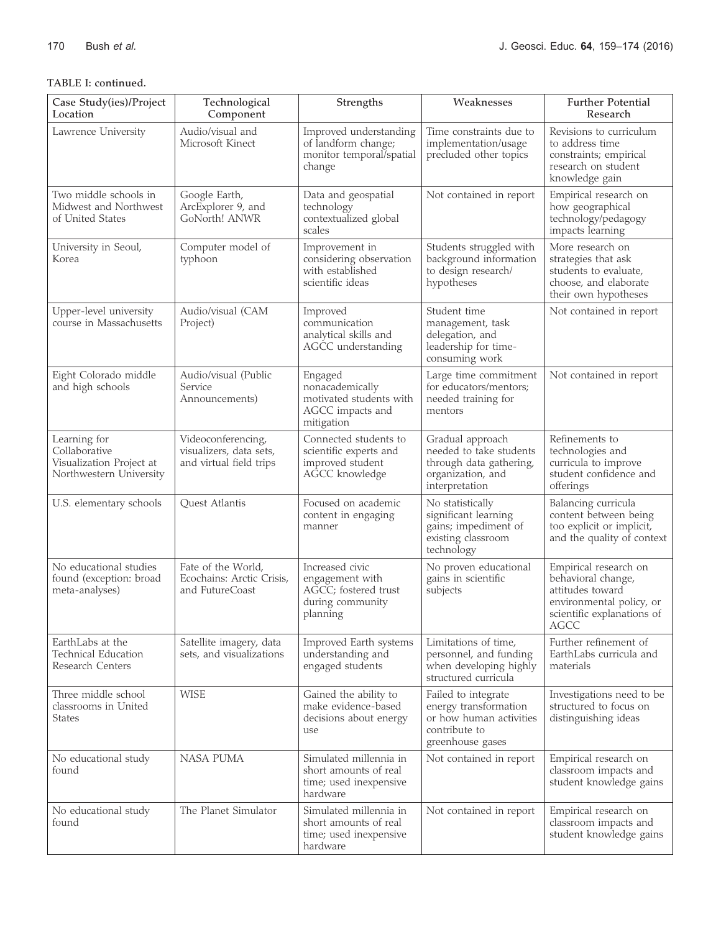#### TABLE I: continued.

| Case Study(ies)/Project<br>Location                                                  | Technological<br>Component                                               | Strengths                                                                                    | Weaknesses                                                                                                    | <b>Further Potential</b><br>Research                                                                                                     |
|--------------------------------------------------------------------------------------|--------------------------------------------------------------------------|----------------------------------------------------------------------------------------------|---------------------------------------------------------------------------------------------------------------|------------------------------------------------------------------------------------------------------------------------------------------|
| Lawrence University                                                                  | Audio/visual and<br>Microsoft Kinect                                     | Improved understanding<br>of landform change;<br>monitor temporal/spatial<br>change          | Time constraints due to<br>implementation/usage<br>precluded other topics                                     | Revisions to curriculum<br>to address time<br>constraints; empirical<br>research on student<br>knowledge gain                            |
| Two middle schools in<br>Midwest and Northwest<br>of United States                   | Google Earth,<br>ArcExplorer 9, and<br>GoNorth! ANWR                     | Data and geospatial<br>technology<br>contextualized global<br>scales                         | Not contained in report                                                                                       | Empirical research on<br>how geographical<br>technology/pedagogy<br>impacts learning                                                     |
| University in Seoul,<br>Korea                                                        | Computer model of<br>typhoon                                             | Improvement in<br>considering observation<br>with established<br>scientific ideas            | Students struggled with<br>background information<br>to design research/<br>hypotheses                        | More research on<br>strategies that ask<br>students to evaluate,<br>choose, and elaborate<br>their own hypotheses                        |
| Upper-level university<br>course in Massachusetts                                    | Audio/visual (CAM<br>Project)                                            | Improved<br>communication<br>analytical skills and<br>AGCC understanding                     | Student time<br>management, task<br>delegation, and<br>leadership for time-<br>consuming work                 | Not contained in report                                                                                                                  |
| Eight Colorado middle<br>and high schools                                            | Audio/visual (Public<br>Service<br>Announcements)                        | Engaged<br>nonacademically<br>motivated students with<br>AGCC impacts and<br>mitigation      | Large time commitment<br>for educators/mentors;<br>needed training for<br>mentors                             | Not contained in report                                                                                                                  |
| Learning for<br>Collaborative<br>Visualization Project at<br>Northwestern University | Videoconferencing,<br>visualizers, data sets,<br>and virtual field trips | Connected students to<br>scientific experts and<br>improved student<br><b>AGCC</b> knowledge | Gradual approach<br>needed to take students<br>through data gathering,<br>organization, and<br>interpretation | Refinements to<br>technologies and<br>curricula to improve<br>student confidence and<br>offerings                                        |
| U.S. elementary schools                                                              | Quest Atlantis                                                           | Focused on academic<br>content in engaging<br>manner                                         | No statistically<br>significant learning<br>gains; impediment of<br>existing classroom<br>technology          | Balancing curricula<br>content between being<br>too explicit or implicit,<br>and the quality of context                                  |
| No educational studies<br>found (exception: broad<br>meta-analyses)                  | Fate of the World,<br>Ecochains: Arctic Crisis,<br>and FutureCoast       | Increased civic<br>engagement with<br>AGCC; fostered trust<br>during community<br>planning   | No proven educational<br>gains in scientific<br>subjects                                                      | Empirical research on<br>behavioral change,<br>attitudes toward<br>environmental policy, or<br>scientific explanations of<br><b>AGCC</b> |
| EarthLabs at the<br>Technical Education<br>Research Centers                          | Satellite imagery, data<br>sets, and visualizations                      | Improved Earth systems<br>understanding and<br>engaged students                              | Limitations of time,<br>personnel, and funding<br>when developing highly<br>structured curricula              | Further refinement of<br>EarthLabs curricula and<br>materials                                                                            |
| Three middle school<br>classrooms in United<br><b>States</b>                         | <b>WISE</b>                                                              | Gained the ability to<br>make evidence-based<br>decisions about energy<br>use                | Failed to integrate<br>energy transformation<br>or how human activities<br>contribute to<br>greenhouse gases  | Investigations need to be<br>structured to focus on<br>distinguishing ideas                                                              |
| No educational study<br>found                                                        | NASA PUMA                                                                | Simulated millennia in<br>short amounts of real<br>time; used inexpensive<br>hardware        | Not contained in report                                                                                       | Empirical research on<br>classroom impacts and<br>student knowledge gains                                                                |
| No educational study<br>found                                                        | The Planet Simulator                                                     | Simulated millennia in<br>short amounts of real<br>time; used inexpensive<br>hardware        | Not contained in report                                                                                       | Empirical research on<br>classroom impacts and<br>student knowledge gains                                                                |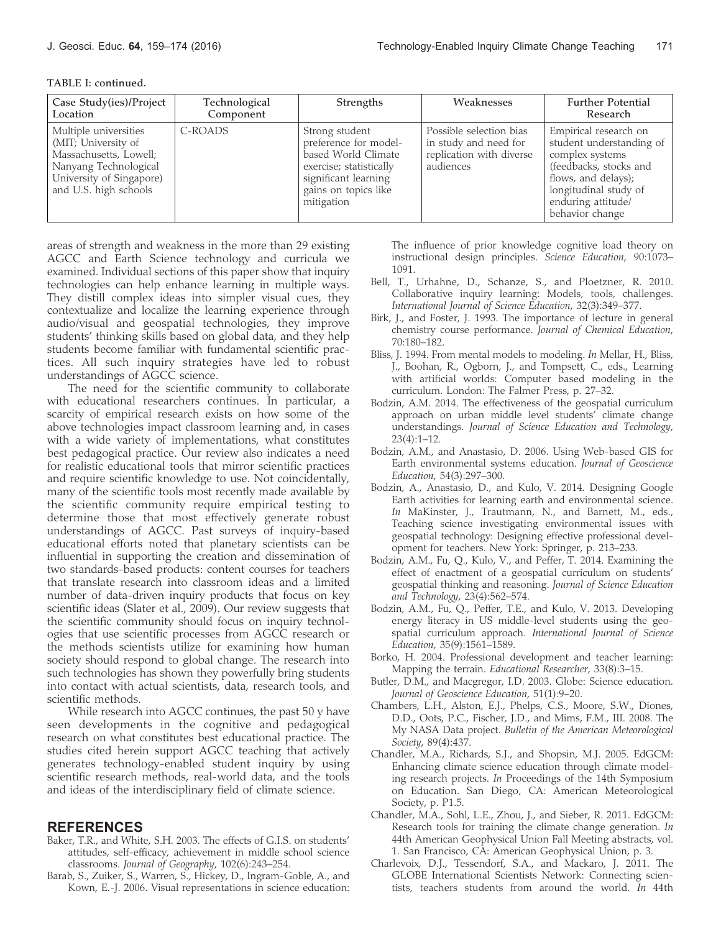#### TABLE I: continued.

| Case Study(ies)/Project<br>Location                                                                                                                  | Technological<br>Component | Strengths                                                                                                                                               | Weaknesses                                                                                | <b>Further Potential</b><br>Research                                                                                                                                                    |
|------------------------------------------------------------------------------------------------------------------------------------------------------|----------------------------|---------------------------------------------------------------------------------------------------------------------------------------------------------|-------------------------------------------------------------------------------------------|-----------------------------------------------------------------------------------------------------------------------------------------------------------------------------------------|
| Multiple universities<br>(MIT; University of<br>Massachusetts, Lowell;<br>Nanyang Technological<br>University of Singapore)<br>and U.S. high schools | C-ROADS                    | Strong student<br>preference for model-<br>based World Climate<br>exercise; statistically<br>significant learning<br>gains on topics like<br>mitigation | Possible selection bias<br>in study and need for<br>replication with diverse<br>audiences | Empirical research on<br>student understanding of<br>complex systems<br>(feedbacks, stocks and<br>flows, and delays);<br>longitudinal study of<br>enduring attitude/<br>behavior change |

areas of strength and weakness in the more than 29 existing AGCC and Earth Science technology and curricula we examined. Individual sections of this paper show that inquiry technologies can help enhance learning in multiple ways. They distill complex ideas into simpler visual cues, they contextualize and localize the learning experience through audio/visual and geospatial technologies, they improve students' thinking skills based on global data, and they help students become familiar with fundamental scientific practices. All such inquiry strategies have led to robust understandings of AGCC science.

The need for the scientific community to collaborate with educational researchers continues. In particular, a scarcity of empirical research exists on how some of the above technologies impact classroom learning and, in cases with a wide variety of implementations, what constitutes best pedagogical practice. Our review also indicates a need for realistic educational tools that mirror scientific practices and require scientific knowledge to use. Not coincidentally, many of the scientific tools most recently made available by the scientific community require empirical testing to determine those that most effectively generate robust understandings of AGCC. Past surveys of inquiry-based educational efforts noted that planetary scientists can be influential in supporting the creation and dissemination of two standards-based products: content courses for teachers that translate research into classroom ideas and a limited number of data-driven inquiry products that focus on key scientific ideas (Slater et al., 2009). Our review suggests that the scientific community should focus on inquiry technologies that use scientific processes from AGCC research or the methods scientists utilize for examining how human society should respond to global change. The research into such technologies has shown they powerfully bring students into contact with actual scientists, data, research tools, and scientific methods.

While research into AGCC continues, the past 50 y have seen developments in the cognitive and pedagogical research on what constitutes best educational practice. The studies cited herein support AGCC teaching that actively generates technology-enabled student inquiry by using scientific research methods, real-world data, and the tools and ideas of the interdisciplinary field of climate science.

### REFERENCES

- Baker, T.R., and White, S.H. 2003. The effects of G.I.S. on students' attitudes, self-efficacy, achievement in middle school science classrooms. Journal of Geography, 102(6):243–254.
- Barab, S., Zuiker, S., Warren, S., Hickey, D., Ingram-Goble, A., and Kown, E.-J. 2006. Visual representations in science education:

The influence of prior knowledge cognitive load theory on instructional design principles. Science Education, 90:1073– 1091.

- Bell, T., Urhahne, D., Schanze, S., and Ploetzner, R. 2010. Collaborative inquiry learning: Models, tools, challenges. International Journal of Science Education, 32(3):349–377.
- Birk, J., and Foster, J. 1993. The importance of lecture in general chemistry course performance. Journal of Chemical Education, 70:180–182.
- Bliss, J. 1994. From mental models to modeling. In Mellar, H., Bliss, J., Boohan, R., Ogborn, J., and Tompsett, C., eds., Learning with artificial worlds: Computer based modeling in the curriculum. London: The Falmer Press, p. 27–32.
- Bodzin, A.M. 2014. The effectiveness of the geospatial curriculum approach on urban middle level students' climate change understandings. Journal of Science Education and Technology, 23(4):1–12.
- Bodzin, A.M., and Anastasio, D. 2006. Using Web-based GIS for Earth environmental systems education. Journal of Geoscience Education, 54(3):297–300.
- Bodzin, A., Anastasio, D., and Kulo, V. 2014. Designing Google Earth activities for learning earth and environmental science. In MaKinster, J., Trautmann, N., and Barnett, M., eds., Teaching science investigating environmental issues with geospatial technology: Designing effective professional development for teachers. New York: Springer, p. 213–233.
- Bodzin, A.M., Fu, Q., Kulo, V., and Peffer, T. 2014. Examining the effect of enactment of a geospatial curriculum on students' geospatial thinking and reasoning. Journal of Science Education and Technology, 23(4):562–574.
- Bodzin, A.M., Fu, Q., Peffer, T.E., and Kulo, V. 2013. Developing energy literacy in US middle-level students using the geospatial curriculum approach. International Journal of Science Education, 35(9):1561–1589.
- Borko, H. 2004. Professional development and teacher learning: Mapping the terrain. Educational Researcher, 33(8):3–15.
- Butler, D.M., and Macgregor, I.D. 2003. Globe: Science education. Journal of Geoscience Education, 51(1):9–20.
- Chambers, L.H., Alston, E.J., Phelps, C.S., Moore, S.W., Diones, D.D., Oots, P.C., Fischer, J.D., and Mims, F.M., III. 2008. The My NASA Data project. Bulletin of the American Meteorological Society, 89(4):437.
- Chandler, M.A., Richards, S.J., and Shopsin, M.J. 2005. EdGCM: Enhancing climate science education through climate modeling research projects. In Proceedings of the 14th Symposium on Education. San Diego, CA: American Meteorological Society, p. P1.5.
- Chandler, M.A., Sohl, L.E., Zhou, J., and Sieber, R. 2011. EdGCM: Research tools for training the climate change generation. In 44th American Geophysical Union Fall Meeting abstracts, vol. 1. San Francisco, CA: American Geophysical Union, p. 3.
- Charlevoix, D.J., Tessendorf, S.A., and Mackaro, J. 2011. The GLOBE International Scientists Network: Connecting scientists, teachers students from around the world. In 44th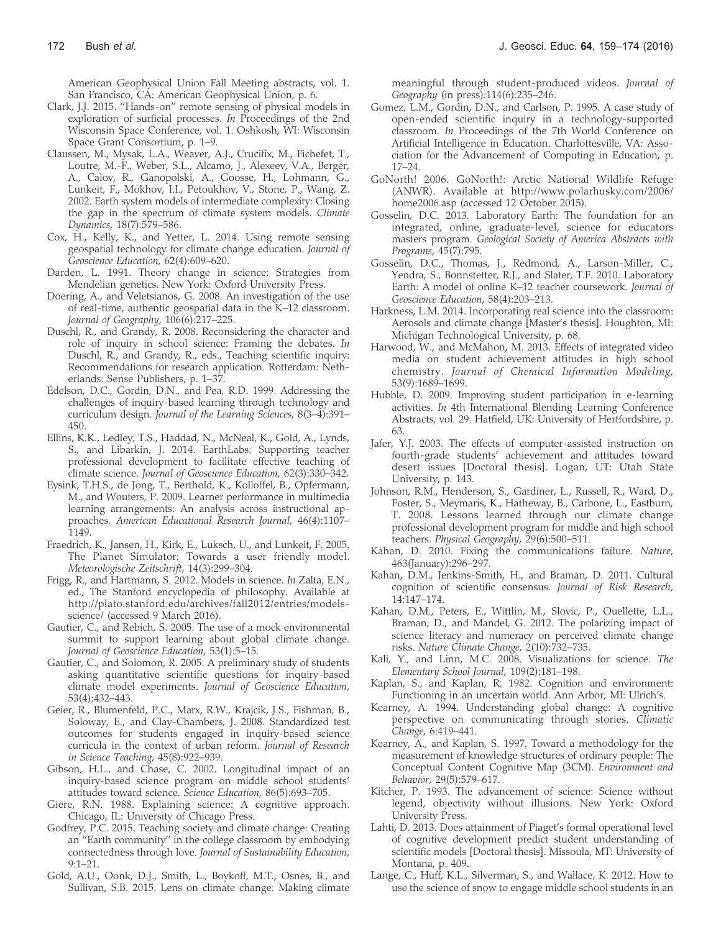American Geophysical Union Fall Meeting abstracts, vol. 1. San Francisco, CA: American Geophysical Union, p. 6.

- Clark, J.J. 2015. ''Hands-on'' remote sensing of physical models in exploration of surficial processes. In Proceedings of the 2nd Wisconsin Space Conference, vol. 1. Oshkosh, WI: Wisconsin Space Grant Consortium, p. 1–9.
- Claussen, M., Mysak, L.A., Weaver, A.J., Crucifix, M., Fichefet, T., Loutre, M.-F., Weber, S.L., Alcamo, J., Alexeev, V.A., Berger, A., Calov, R., Ganopolski, A., Goosse, H., Lohmann, G., Lunkeit, F., Mokhov, I.I., Petoukhov, V., Stone, P., Wang, Z. 2002. Earth system models of intermediate complexity: Closing the gap in the spectrum of climate system models. Climate Dynamics, 18(7):579–586.
- Cox, H., Kelly, K., and Yetter, L. 2014. Using remote sensing geospatial technology for climate change education. Journal of Geoscience Education, 62(4):609–620.
- Darden, L. 1991. Theory change in science: Strategies from Mendelian genetics. New York: Oxford University Press.
- Doering, A., and Veletsianos, G. 2008. An investigation of the use of real-time, authentic geospatial data in the K–12 classroom. Journal of Geography, 106(6):217–225.
- Duschl, R., and Grandy, R. 2008. Reconsidering the character and role of inquiry in school science: Framing the debates. In Duschl, R., and Grandy, R., eds., Teaching scientific inquiry: Recommendations for research application. Rotterdam: Netherlands: Sense Publishers, p. 1–37.
- Edelson, D.C., Gordin, D.N., and Pea, R.D. 1999. Addressing the challenges of inquiry-based learning through technology and curriculum design. Journal of the Learning Sciences, 8(3–4):391– 450.
- Ellins, K.K., Ledley, T.S., Haddad, N., McNeal, K., Gold, A., Lynds, S., and Libarkin, J. 2014. EarthLabs: Supporting teacher professional development to facilitate effective teaching of climate science. Journal of Geoscience Education, 62(3):330–342.
- Eysink, T.H.S., de Jong, T., Berthold, K., Kolloffel, B., Opfermann, M., and Wouters, P. 2009. Learner performance in multimedia learning arrangements: An analysis across instructional approaches. American Educational Research Journal, 46(4):1107– 1149.
- Fraedrich, K., Jansen, H., Kirk, E., Luksch, U., and Lunkeit, F. 2005. The Planet Simulator: Towards a user friendly model. Meteorologische Zeitschrift, 14(3):299–304.
- Frigg, R., and Hartmann, S. 2012. Models in science. In Zalta, E.N., ed., The Stanford encyclopedia of philosophy. Available at http://plato.stanford.edu/archives/fall2012/entries/modelsscience/ (accessed 9 March 2016).
- Gautier, C., and Rebich, S. 2005. The use of a mock environmental summit to support learning about global climate change. Journal of Geoscience Education, 53(1):5–15.
- Gautier, C., and Solomon, R. 2005. A preliminary study of students asking quantitative scientific questions for inquiry-based climate model experiments. Journal of Geoscience Education, 53(4):432–443.
- Geier, R., Blumenfeld, P.C., Marx, R.W., Krajcik, J.S., Fishman, B., Soloway, E., and Clay-Chambers, J. 2008. Standardized test outcomes for students engaged in inquiry-based science curricula in the context of urban reform. Journal of Research in Science Teaching, 45(8):922–939.
- Gibson, H.L., and Chase, C. 2002. Longitudinal impact of an inquiry-based science program on middle school students' attitudes toward science. Science Education, 86(5):693–705.
- Giere, R.N. 1988. Explaining science: A cognitive approach. Chicago, IL: University of Chicago Press.
- Godfrey, P.C. 2015. Teaching society and climate change: Creating an ''Earth community'' in the college classroom by embodying connectedness through love. Journal of Sustainability Education,  $9:1 - 21$ .
- Gold, A.U., Oonk, D.J., Smith, L., Boykoff, M.T., Osnes, B., and Sullivan, S.B. 2015. Lens on climate change: Making climate

meaningful through student-produced videos. Journal of Geography (in press):114(6):235–246.

- Gomez, L.M., Gordin, D.N., and Carlson, P. 1995. A case study of open-ended scientific inquiry in a technology-supported classroom. In Proceedings of the 7th World Conference on Artificial Intelligence in Education. Charlottesville, VA: Association for the Advancement of Computing in Education, p. 17–24.
- GoNorth! 2006. GoNorth!: Arctic National Wildlife Refuge (ANWR). Available at http://www.polarhusky.com/2006/ home2006.asp (accessed 12 October 2015).
- Gosselin, D.C. 2013. Laboratory Earth: The foundation for an integrated, online, graduate-level, science for educators masters program. Geological Society of America Abstracts with Programs, 45(7):795.
- Gosselin, D.C., Thomas, J., Redmond, A., Larson-Miller, C., Yendra, S., Bonnstetter, R.J., and Slater, T.F. 2010. Laboratory Earth: A model of online K–12 teacher coursework. Journal of Geoscience Education, 58(4):203–213.
- Harkness, L.M. 2014. Incorporating real science into the classroom: Aerosols and climate change [Master's thesis]. Houghton, MI: Michigan Technological University, p. 68.
- Harwood, W., and McMahon, M. 2013. Effects of integrated video media on student achievement attitudes in high school chemistry. Journal of Chemical Information Modeling, 53(9):1689–1699.
- Hubble, D. 2009. Improving student participation in e-learning activities. In 4th International Blending Learning Conference Abstracts, vol. 29. Hatfield, UK: University of Hertfordshire, p. 63.
- Jafer, Y.J. 2003. The effects of computer-assisted instruction on fourth-grade students' achievement and attitudes toward desert issues [Doctoral thesis]. Logan, UT: Utah State University, p. 143.
- Johnson, R.M., Henderson, S., Gardiner, L., Russell, R., Ward, D., Foster, S., Meymaris, K., Hatheway, B., Carbone, L., Eastburn, T. 2008. Lessons learned through our climate change professional development program for middle and high school teachers. Physical Geography, 29(6):500–511.
- Kahan, D. 2010. Fixing the communications failure. Nature, 463(January):296–297.
- Kahan, D.M., Jenkins-Smith, H., and Braman, D. 2011. Cultural cognition of scientific consensus. Journal of Risk Research, 14:147–174.
- Kahan, D.M., Peters, E., Wittlin, M., Slovic, P., Ouellette, L.L., Braman, D., and Mandel, G. 2012. The polarizing impact of science literacy and numeracy on perceived climate change risks. Nature Climate Change, 2(10):732–735.
- Kali, Y., and Linn, M.C. 2008. Visualizations for science. The Elementary School Journal, 109(2):181–198.
- Kaplan, S., and Kaplan, R. 1982. Cognition and environment: Functioning in an uncertain world. Ann Arbor, MI: Ulrich's.
- Kearney, A. 1994. Understanding global change: A cognitive perspective on communicating through stories. Climatic Change, 6:419–441.
- Kearney, A., and Kaplan, S. 1997. Toward a methodology for the measurement of knowledge structures of ordinary people: The Conceptual Content Cognitive Map (3CM). Environment and Behavior, 29(5):579–617.
- Kitcher, P. 1993. The advancement of science: Science without legend, objectivity without illusions. New York: Oxford University Press.
- Lahti, D. 2013. Does attainment of Piaget's formal operational level of cognitive development predict student understanding of scientific models [Doctoral thesis]. Missoula, MT: University of Montana, p. 409.
- Lange, C., Huff, K.L., Silverman, S., and Wallace, K. 2012. How to use the science of snow to engage middle school students in an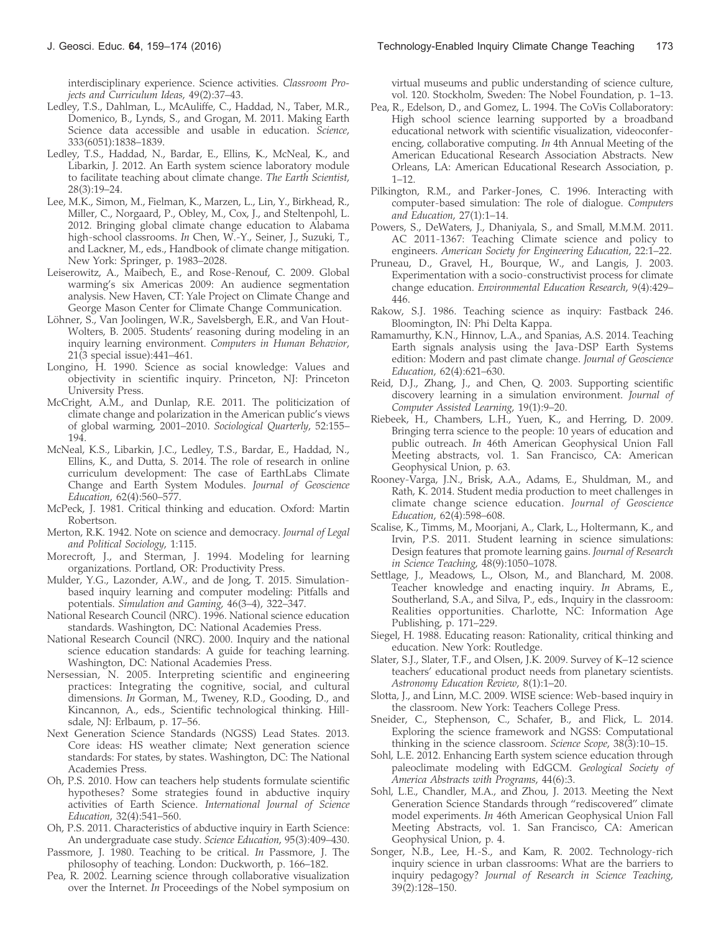interdisciplinary experience. Science activities. Classroom Projects and Curriculum Ideas, 49(2):37–43.

- Ledley, T.S., Dahlman, L., McAuliffe, C., Haddad, N., Taber, M.R., Domenico, B., Lynds, S., and Grogan, M. 2011. Making Earth Science data accessible and usable in education. Science, 333(6051):1838–1839.
- Ledley, T.S., Haddad, N., Bardar, E., Ellins, K., McNeal, K., and Libarkin, J. 2012. An Earth system science laboratory module to facilitate teaching about climate change. The Earth Scientist, 28(3):19–24.
- Lee, M.K., Simon, M., Fielman, K., Marzen, L., Lin, Y., Birkhead, R., Miller, C., Norgaard, P., Obley, M., Cox, J., and Steltenpohl, L. 2012. Bringing global climate change education to Alabama high-school classrooms. In Chen, W.-Y., Seiner, J., Suzuki, T., and Lackner, M., eds., Handbook of climate change mitigation. New York: Springer, p. 1983–2028.
- Leiserowitz, A., Maibech, E., and Rose-Renouf, C. 2009. Global warming's six Americas 2009: An audience segmentation analysis. New Haven, CT: Yale Project on Climate Change and George Mason Center for Climate Change Communication.
- Löhner, S., Van Joolingen, W.R., Savelsbergh, E.R., and Van Hout-Wolters, B. 2005. Students' reasoning during modeling in an inquiry learning environment. Computers in Human Behavior, 21(3 special issue):441–461.
- Longino, H. 1990. Science as social knowledge: Values and objectivity in scientific inquiry. Princeton, NJ: Princeton University Press.
- McCright, A.M., and Dunlap, R.E. 2011. The politicization of climate change and polarization in the American public's views of global warming, 2001–2010. Sociological Quarterly, 52:155– 194.
- McNeal, K.S., Libarkin, J.C., Ledley, T.S., Bardar, E., Haddad, N., Ellins, K., and Dutta, S. 2014. The role of research in online curriculum development: The case of EarthLabs Climate Change and Earth System Modules. Journal of Geoscience Education, 62(4):560–577.
- McPeck, J. 1981. Critical thinking and education. Oxford: Martin Robertson.
- Merton, R.K. 1942. Note on science and democracy. Journal of Legal and Political Sociology, 1:115.
- Morecroft, J., and Sterman, J. 1994. Modeling for learning organizations. Portland, OR: Productivity Press.
- Mulder, Y.G., Lazonder, A.W., and de Jong, T. 2015. Simulationbased inquiry learning and computer modeling: Pitfalls and potentials. Simulation and Gaming, 46(3–4), 322–347.
- National Research Council (NRC). 1996. National science education standards. Washington, DC: National Academies Press.
- National Research Council (NRC). 2000. Inquiry and the national science education standards: A guide for teaching learning. Washington, DC: National Academies Press.
- Nersessian, N. 2005. Interpreting scientific and engineering practices: Integrating the cognitive, social, and cultural dimensions. In Gorman, M., Tweney, R.D., Gooding, D., and Kincannon, A., eds., Scientific technological thinking. Hillsdale, NJ: Erlbaum, p. 17–56.
- Next Generation Science Standards (NGSS) Lead States. 2013. Core ideas: HS weather climate; Next generation science standards: For states, by states. Washington, DC: The National Academies Press.
- Oh, P.S. 2010. How can teachers help students formulate scientific hypotheses? Some strategies found in abductive inquiry activities of Earth Science. International Journal of Science Education, 32(4):541–560.
- Oh, P.S. 2011. Characteristics of abductive inquiry in Earth Science: An undergraduate case study. Science Education, 95(3):409–430.
- Passmore, J. 1980. Teaching to be critical. In Passmore, J. The philosophy of teaching. London: Duckworth, p. 166–182.
- Pea, R. 2002. Learning science through collaborative visualization over the Internet. In Proceedings of the Nobel symposium on

virtual museums and public understanding of science culture, vol. 120. Stockholm, Sweden: The Nobel Foundation, p. 1–13.

- Pea, R., Edelson, D., and Gomez, L. 1994. The CoVis Collaboratory: High school science learning supported by a broadband educational network with scientific visualization, videoconferencing, collaborative computing. In 4th Annual Meeting of the American Educational Research Association Abstracts. New Orleans, LA: American Educational Research Association, p. 1–12.
- Pilkington, R.M., and Parker-Jones, C. 1996. Interacting with computer-based simulation: The role of dialogue. Computers and Education, 27(1):1–14.
- Powers, S., DeWaters, J., Dhaniyala, S., and Small, M.M.M. 2011. AC 2011-1367: Teaching Climate science and policy to engineers. American Society for Engineering Education, 22:1–22.
- Pruneau, D., Gravel, H., Bourque, W., and Langis, J. 2003. Experimentation with a socio-constructivist process for climate change education. Environmental Education Research, 9(4):429– 446.
- Rakow, S.J. 1986. Teaching science as inquiry: Fastback 246. Bloomington, IN: Phi Delta Kappa.
- Ramamurthy, K.N., Hinnov, L.A., and Spanias, A.S. 2014. Teaching Earth signals analysis using the Java-DSP Earth Systems edition: Modern and past climate change. Journal of Geoscience Education, 62(4):621–630.
- Reid, D.J., Zhang, J., and Chen, Q. 2003. Supporting scientific discovery learning in a simulation environment. Journal of Computer Assisted Learning, 19(1):9–20.
- Riebeek, H., Chambers, L.H., Yuen, K., and Herring, D. 2009. Bringing terra science to the people: 10 years of education and public outreach. In 46th American Geophysical Union Fall Meeting abstracts, vol. 1. San Francisco, CA: American Geophysical Union, p. 63.
- Rooney-Varga, J.N., Brisk, A.A., Adams, E., Shuldman, M., and Rath, K. 2014. Student media production to meet challenges in climate change science education. Journal of Geoscience Education, 62(4):598–608.
- Scalise, K., Timms, M., Moorjani, A., Clark, L., Holtermann, K., and Irvin, P.S. 2011. Student learning in science simulations: Design features that promote learning gains. Journal of Research in Science Teaching, 48(9):1050–1078.
- Settlage, J., Meadows, L., Olson, M., and Blanchard, M. 2008. Teacher knowledge and enacting inquiry. In Abrams, E., Southerland, S.A., and Silva, P., eds., Inquiry in the classroom: Realities opportunities. Charlotte, NC: Information Age Publishing, p. 171–229.
- Siegel, H. 1988. Educating reason: Rationality, critical thinking and education. New York: Routledge.
- Slater, S.J., Slater, T.F., and Olsen, J.K. 2009. Survey of K–12 science teachers' educational product needs from planetary scientists. Astronomy Education Review, 8(1):1–20.
- Slotta, J., and Linn, M.C. 2009. WISE science: Web-based inquiry in the classroom. New York: Teachers College Press.
- Sneider, C., Stephenson, C., Schafer, B., and Flick, L. 2014. Exploring the science framework and NGSS: Computational thinking in the science classroom. Science Scope, 38(3):10-15.
- Sohl, L.E. 2012. Enhancing Earth system science education through paleoclimate modeling with EdGCM. Geological Society of America Abstracts with Programs, 44(6):3.
- Sohl, L.E., Chandler, M.A., and Zhou, J. 2013. Meeting the Next Generation Science Standards through ''rediscovered'' climate model experiments. In 46th American Geophysical Union Fall Meeting Abstracts, vol. 1. San Francisco, CA: American Geophysical Union, p. 4.
- Songer, N.B., Lee, H.-S., and Kam, R. 2002. Technology-rich inquiry science in urban classrooms: What are the barriers to inquiry pedagogy? Journal of Research in Science Teaching, 39(2):128–150.